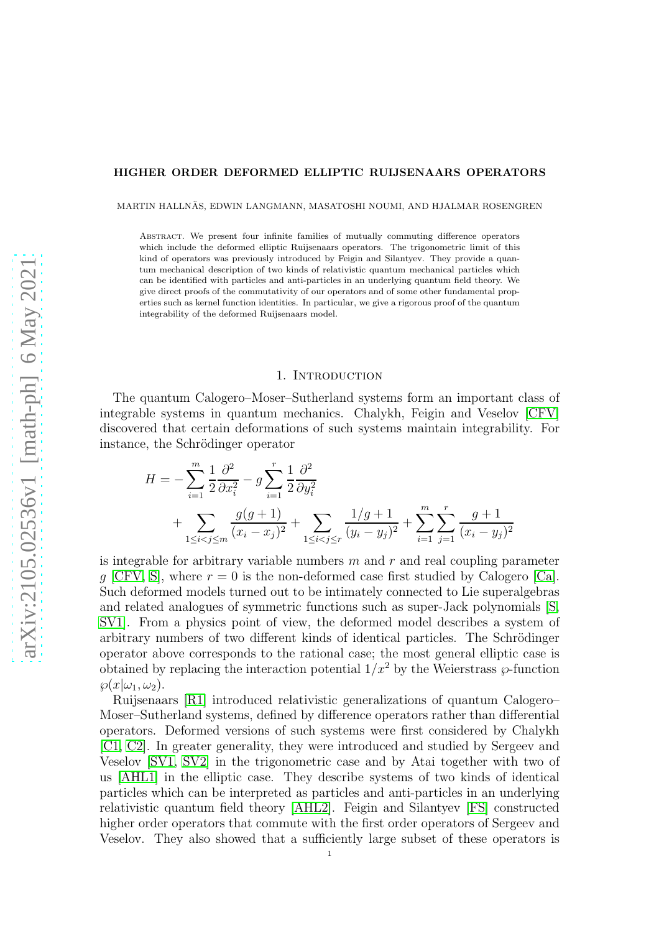#### HIGHER ORDER DEFORMED ELLIPTIC RUIJSENAARS OPERATORS

MARTIN HALLNÄS, EDWIN LANGMANN, MASATOSHI NOUMI, AND HJALMAR ROSENGREN

ABSTRACT. We present four infinite families of mutually commuting difference operators which include the deformed elliptic Ruijsenaars operators. The trigonometric limit of this kind of operators was previously introduced by Feigin and Silantyev. They provide a quantum mechanical description of two kinds of relativistic quantum mechanical particles which can be identified with particles and anti-particles in an underlying quantum field theory. We give direct proofs of the commutativity of our operators and of some other fundamental properties such as kernel function identities. In particular, we give a rigorous proof of the quantum integrability of the deformed Ruijsenaars model.

### 1. INTRODUCTION

The quantum Calogero–Moser–Sutherland systems form an important class of integrable systems in quantum mechanics. Chalykh, Feigin and Veselov [\[CFV\]](#page-27-0) discovered that certain deformations of such systems maintain integrability. For instance, the Schrödinger operator

$$
H = -\sum_{i=1}^{m} \frac{1}{2} \frac{\partial^2}{\partial x_i^2} - g \sum_{i=1}^{r} \frac{1}{2} \frac{\partial^2}{\partial y_i^2} + \sum_{1 \le i < j \le r} \frac{g(g+1)}{(x_i - x_j)^2} + \sum_{1 \le i < j \le r} \frac{1/g+1}{(y_i - y_j)^2} + \sum_{i=1}^{m} \sum_{j=1}^{r} \frac{g+1}{(x_i - y_j)^2}
$$

is integrable for arbitrary variable numbers  $m$  and  $r$  and real coupling parameter q [\[CFV,](#page-27-0) [S\]](#page-28-0), where  $r = 0$  is the non-deformed case first studied by Calogero [\[Ca\]](#page-27-1). Such deformed models turned out to be intimately connected to Lie superalgebras and related analogues of symmetric functions such as super-Jack polynomials [\[S,](#page-28-0) [SV1\]](#page-28-1). From a physics point of view, the deformed model describes a system of arbitrary numbers of two different kinds of identical particles. The Schrödinger operator above corresponds to the rational case; the most general elliptic case is obtained by replacing the interaction potential  $1/x^2$  by the Weierstrass  $\wp$ -function  $\wp(x|\omega_1, \omega_2).$ 

Ruijsenaars [\[R1\]](#page-28-2) introduced relativistic generalizations of quantum Calogero– Moser–Sutherland systems, defined by difference operators rather than differential operators. Deformed versions of such systems were first considered by Chalykh [\[C1,](#page-27-2) [C2\]](#page-27-3). In greater generality, they were introduced and studied by Sergeev and Veselov [\[SV1,](#page-28-1) [SV2\]](#page-28-3) in the trigonometric case and by Atai together with two of us [\[AHL1\]](#page-27-4) in the elliptic case. They describe systems of two kinds of identical particles which can be interpreted as particles and anti-particles in an underlying relativistic quantum field theory [\[AHL2\]](#page-27-5). Feigin and Silantyev [\[FS\]](#page-27-6) constructed higher order operators that commute with the first order operators of Sergeev and Veselov. They also showed that a sufficiently large subset of these operators is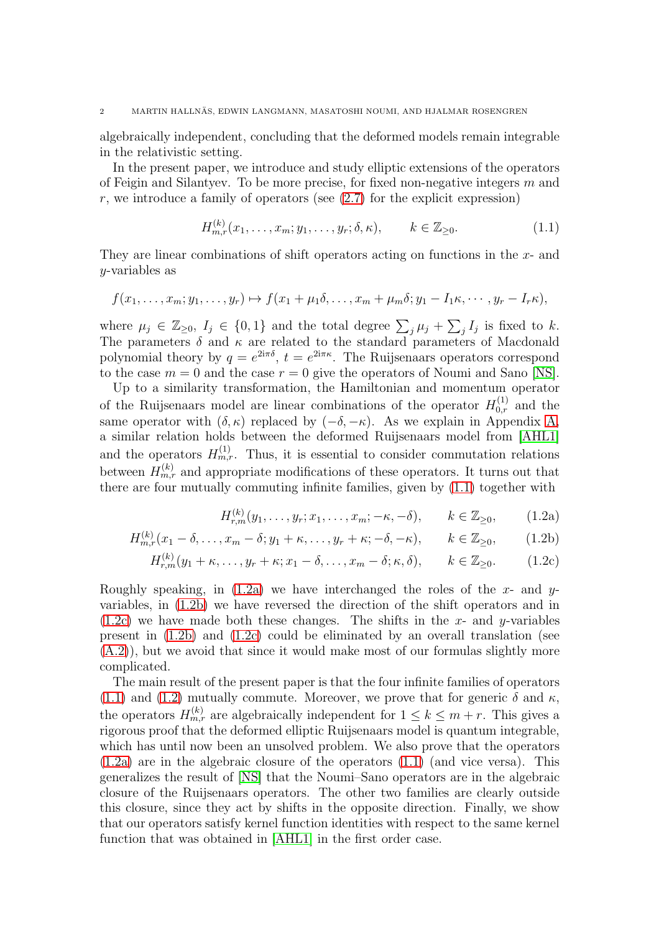algebraically independent, concluding that the deformed models remain integrable in the relativistic setting.

In the present paper, we introduce and study elliptic extensions of the operators of Feigin and Silantyev. To be more precise, for fixed non-negative integers  $m$  and  $r$ , we introduce a family of operators (see  $(2.7)$ ) for the explicit expression)

<span id="page-1-0"></span>
$$
H_{m,r}^{(k)}(x_1, \dots, x_m; y_1, \dots, y_r; \delta, \kappa), \qquad k \in \mathbb{Z}_{\geq 0}.
$$
 (1.1)

They are linear combinations of shift operators acting on functions in the x- and y-variables as

$$
f(x_1,\ldots,x_m;y_1,\ldots,y_r)\mapsto f(x_1+\mu_1\delta,\ldots,x_m+\mu_m\delta;y_1-I_1\kappa,\cdots,y_r-I_r\kappa),
$$

where  $\mu_j \in \mathbb{Z}_{\geq 0}$ ,  $I_j \in \{0,1\}$  and the total degree  $\sum_j \mu_j + \sum_j I_j$  is fixed to k. The parameters  $\delta$  and  $\kappa$  are related to the standard parameters of Macdonald polynomial theory by  $q = e^{2i\pi\delta}$ ,  $t = e^{2i\pi\kappa}$ . The Ruijsenaars operators correspond to the case  $m = 0$  and the case  $r = 0$  give the operators of Noumi and Sano [\[NS\]](#page-28-4).

Up to a similarity transformation, the Hamiltonian and momentum operator of the Ruijsenaars model are linear combinations of the operator  $H_{0,r}^{(1)}$  and the same operator with  $(\delta, \kappa)$  replaced by  $(-\delta, -\kappa)$ . As we explain in Appendix [A,](#page-22-0) a similar relation holds between the deformed Ruijsenaars model from [\[AHL1\]](#page-27-4) and the operators  $H_{m,r}^{(1)}$ . Thus, it is essential to consider commutation relations between  $H_{m,r}^{(k)}$  and appropriate modifications of these operators. It turns out that there are four mutually commuting infinite families, given by [\(1.1\)](#page-1-0) together with

<span id="page-1-4"></span><span id="page-1-3"></span><span id="page-1-2"></span><span id="page-1-1"></span>
$$
H_{r,m}^{(k)}(y_1, \ldots, y_r; x_1, \ldots, x_m; -\kappa, -\delta), \qquad k \in \mathbb{Z}_{\geq 0}, \qquad (1.2a)
$$

$$
H_{m,r}^{(k)}(x_1 - \delta, \dots, x_m - \delta; y_1 + \kappa, \dots, y_r + \kappa; -\delta, -\kappa), \qquad k \in \mathbb{Z}_{\geq 0}, \qquad (1.2b)
$$

$$
H_{r,m}^{(k)}(y_1 + \kappa, \dots, y_r + \kappa; x_1 - \delta, \dots, x_m - \delta; \kappa, \delta), \qquad k \in \mathbb{Z}_{\geq 0}.
$$
 (1.2c)

Roughly speaking, in [\(1.2a\)](#page-1-1) we have interchanged the roles of the x- and  $y$ variables, in [\(1.2b\)](#page-1-2) we have reversed the direction of the shift operators and in  $(1.2c)$  we have made both these changes. The shifts in the x- and y-variables present in [\(1.2b\)](#page-1-2) and [\(1.2c\)](#page-1-3) could be eliminated by an overall translation (see [\(A.2\)](#page-24-0)), but we avoid that since it would make most of our formulas slightly more complicated.

The main result of the present paper is that the four infinite families of operators [\(1.1\)](#page-1-0) and [\(1.2\)](#page-1-4) mutually commute. Moreover, we prove that for generic  $\delta$  and  $\kappa$ , the operators  $H_{m,r}^{(k)}$  are algebraically independent for  $1 \leq k \leq m+r$ . This gives a rigorous proof that the deformed elliptic Ruijsenaars model is quantum integrable, which has until now been an unsolved problem. We also prove that the operators [\(1.2a\)](#page-1-1) are in the algebraic closure of the operators [\(1.1\)](#page-1-0) (and vice versa). This generalizes the result of [\[NS\]](#page-28-4) that the Noumi–Sano operators are in the algebraic closure of the Ruijsenaars operators. The other two families are clearly outside this closure, since they act by shifts in the opposite direction. Finally, we show that our operators satisfy kernel function identities with respect to the same kernel function that was obtained in [\[AHL1\]](#page-27-4) in the first order case.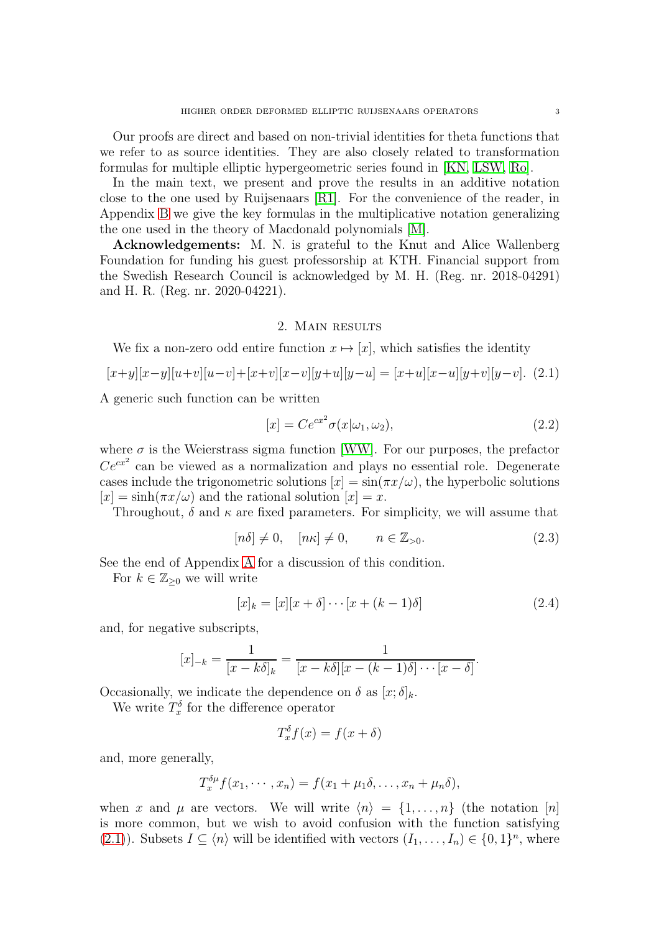In the main text, we present and prove the results in an additive notation close to the one used by Ruijsenaars [\[R1\]](#page-28-2). For the convenience of the reader, in Appendix [B](#page-24-1) we give the key formulas in the multiplicative notation generalizing the one used in the theory of Macdonald polynomials [\[M\]](#page-28-6).

Acknowledgements: M. N. is grateful to the Knut and Alice Wallenberg Foundation for funding his guest professorship at KTH. Financial support from the Swedish Research Council is acknowledged by M. H. (Reg. nr. 2018-04291) and H. R. (Reg. nr. 2020-04221).

#### 2. Main results

We fix a non-zero odd entire function  $x \mapsto [x]$ , which satisfies the identity

<span id="page-2-0"></span>
$$
[x+y][x-y][u+v][u-v]+[x+v][x-v][y+u][y-u] = [x+u][x-u][y+v][y-v]. \tag{2.1}
$$

A generic such function can be written

<span id="page-2-2"></span>
$$
[x] = Ce^{cx^2} \sigma(x|\omega_1, \omega_2), \qquad (2.2)
$$

where  $\sigma$  is the Weierstrass sigma function [\[WW\]](#page-28-7). For our purposes, the prefactor  $Ce^{cx^2}$  can be viewed as a normalization and plays no essential role. Degenerate cases include the trigonometric solutions  $[x] = \sin(\pi x/\omega)$ , the hyperbolic solutions  $[x] = \sinh(\pi x/\omega)$  and the rational solution  $[x] = x$ .

Throughout,  $\delta$  and  $\kappa$  are fixed parameters. For simplicity, we will assume that

<span id="page-2-1"></span>
$$
[n\delta] \neq 0, \quad [n\kappa] \neq 0, \qquad n \in \mathbb{Z}_{>0}.
$$
 (2.3)

See the end of Appendix [A](#page-22-0) for a discussion of this condition.

For  $k \in \mathbb{Z}_{\geq 0}$  we will write

<span id="page-2-3"></span>
$$
[x]_k = [x][x + \delta] \cdots [x + (k-1)\delta]
$$
\n(2.4)

and, for negative subscripts,

$$
[x]_{-k} = \frac{1}{[x-k\delta]_k} = \frac{1}{[x-k\delta][x-(k-1)\delta]\cdots[x-\delta]}.
$$

Occasionally, we indicate the dependence on  $\delta$  as  $[x; \delta]_k$ .

We write  $T_x^{\delta}$  for the difference operator

$$
T_x^{\delta} f(x) = f(x + \delta)
$$

and, more generally,

$$
T_x^{\delta\mu}f(x_1,\dots,x_n)=f(x_1+\mu_1\delta,\dots,x_n+\mu_n\delta),
$$

when x and  $\mu$  are vectors. We will write  $\langle n \rangle = \{1, \ldots, n\}$  (the notation [n] is more common, but we wish to avoid confusion with the function satisfying [\(2.1\)](#page-2-0)). Subsets  $I \subseteq \langle n \rangle$  will be identified with vectors  $(I_1, \ldots, I_n) \in \{0,1\}^n$ , where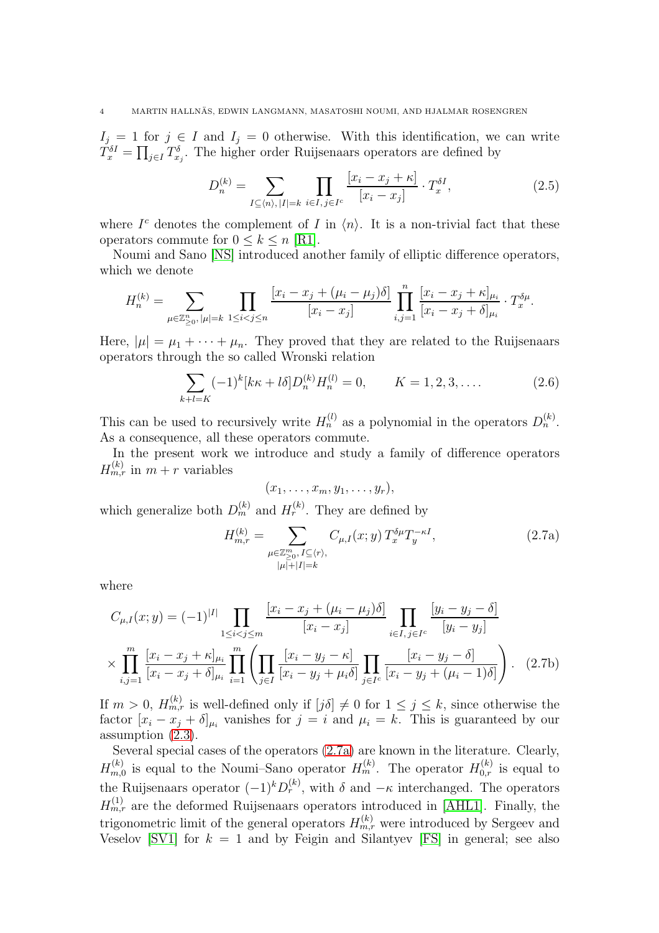$I_j = 1$  for  $j \in I$  and  $I_j = 0$  otherwise. With this identification, we can write  $T_x^{\delta I} = \prod_{j\in I} T_{x_j}^{\delta}$ . The higher order Ruijsenaars operators are defined by

<span id="page-3-3"></span>
$$
D_n^{(k)} = \sum_{I \subseteq \langle n \rangle, |I| = k} \prod_{i \in I, j \in I^c} \frac{[x_i - x_j + \kappa]}{[x_i - x_j]} \cdot T_x^{\delta I},\tag{2.5}
$$

where  $I^c$  denotes the complement of I in  $\langle n \rangle$ . It is a non-trivial fact that these operators commute for  $0 \leq k \leq n$  [\[R1\]](#page-28-2).

Noumi and Sano [\[NS\]](#page-28-4) introduced another family of elliptic difference operators, which we denote

$$
H_n^{(k)} = \sum_{\mu \in \mathbb{Z}_{\geq 0}^n, |\mu| = k} \prod_{1 \leq i < j \leq n} \frac{[x_i - x_j + (\mu_i - \mu_j)\delta]}{[x_i - x_j]} \prod_{i,j=1}^n \frac{[x_i - x_j + \kappa]_{\mu_i}}{[x_i - x_j + \delta]_{\mu_i}} \cdot T_x^{\delta \mu}.
$$

Here,  $|\mu| = \mu_1 + \cdots + \mu_n$ . They proved that they are related to the Ruijsenaars operators through the so called Wronski relation

<span id="page-3-4"></span>
$$
\sum_{k+l=K} (-1)^k [k\kappa + l\delta] D_n^{(k)} H_n^{(l)} = 0, \qquad K = 1, 2, 3, .... \qquad (2.6)
$$

This can be used to recursively write  $H_n^{(l)}$  as a polynomial in the operators  $D_n^{(k)}$ . As a consequence, all these operators commute.

In the present work we introduce and study a family of difference operators  $H_{m,r}^{(k)}$  in  $m+r$  variables

<span id="page-3-2"></span><span id="page-3-0"></span>
$$
(x_1,\ldots,x_m,y_1,\ldots,y_r),
$$

which generalize both  $D_m^{(k)}$  and  $H_r^{(k)}$ . They are defined by

<span id="page-3-1"></span>
$$
H_{m,r}^{(k)} = \sum_{\substack{\mu \in \mathbb{Z}_{\geq 0}^m, I \subseteq \langle r \rangle, \\ |\mu| + |I| = k}} C_{\mu, I}(x; y) T_x^{\delta \mu} T_y^{-\kappa I}, \tag{2.7a}
$$

where

$$
C_{\mu,I}(x;y) = (-1)^{|I|} \prod_{1 \le i < j \le m} \frac{[x_i - x_j + (\mu_i - \mu_j)\delta]}{[x_i - x_j]} \prod_{i \in I, j \in I^c} \frac{[y_i - y_j - \delta]}{[y_i - y_j]}
$$
\n
$$
\times \prod_{i,j=1}^m \frac{[x_i - x_j + \kappa]_{\mu_i}}{[x_i - x_j + \delta]_{\mu_i}} \prod_{i=1}^m \left( \prod_{j \in I} \frac{[x_i - y_j - \kappa]}{[x_i - y_j + \mu_i \delta]} \prod_{j \in I^c} \frac{[x_i - y_j - \delta]}{[x_i - y_j + (\mu_i - 1)\delta]} \right). \tag{2.7b}
$$

If  $m > 0$ ,  $H_{m,r}^{(k)}$  is well-defined only if  $[j\delta] \neq 0$  for  $1 \leq j \leq k$ , since otherwise the factor  $[x_i - x_j + \delta]_{\mu_i}$  vanishes for  $j = i$  and  $\mu_i = k$ . This is guaranteed by our assumption [\(2.3\)](#page-2-1).

Several special cases of the operators [\(2.7a\)](#page-3-1) are known in the literature. Clearly,  $H_{m,0}^{(k)}$  $m_{m,0}^{(k)}$  is equal to the Noumi–Sano operator  $H_m^{(k)}$ . The operator  $H_{0,r}^{(k)}$  is equal to the Ruijsenaars operator  $(-1)^k D_r^{(k)}$ , with  $\delta$  and  $-\kappa$  interchanged. The operators  $H_{m,r}^{(1)}$  are the deformed Ruijsenaars operators introduced in [\[AHL1\]](#page-27-4). Finally, the trigonometric limit of the general operators  $H_{m,r}^{(k)}$  were introduced by Sergeev and Veselov [\[SV1\]](#page-28-1) for  $k = 1$  and by Feigin and Silantyev [\[FS\]](#page-27-6) in general; see also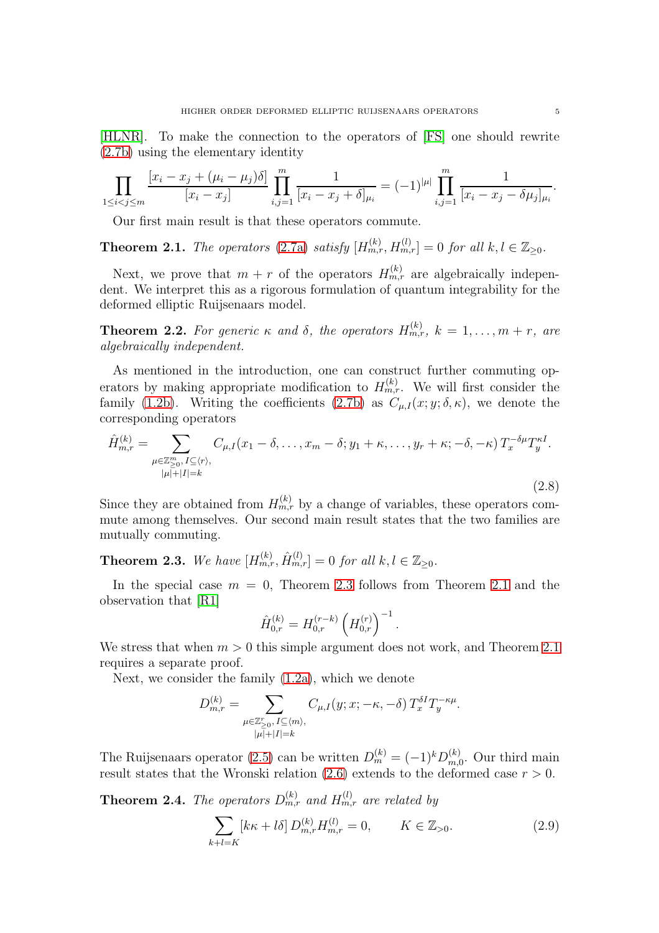[\[HLNR\]](#page-27-9). To make the connection to the operators of [\[FS\]](#page-27-6) one should rewrite [\(2.7b\)](#page-3-2) using the elementary identity

$$
\prod_{1 \le i < j \le m} \frac{[x_i - x_j + (\mu_i - \mu_j)\delta]}{[x_i - x_j]} \prod_{i,j=1}^m \frac{1}{[x_i - x_j + \delta]_{\mu_i}} = (-1)^{|\mu|} \prod_{i,j=1}^m \frac{1}{[x_i - x_j - \delta \mu_j]_{\mu_i}}.
$$

Our first main result is that these operators commute.

<span id="page-4-1"></span>**Theorem 2.1.** The operators [\(2.7a\)](#page-3-1) satisfy  $[H_{m,r}^{(k)}, H_{m,r}^{(l)}] = 0$  for all  $k, l \in \mathbb{Z}_{\geq 0}$ .

Next, we prove that  $m + r$  of the operators  $H_{m,r}^{(k)}$  are algebraically independent. We interpret this as a rigorous formulation of quantum integrability for the deformed elliptic Ruijsenaars model.

<span id="page-4-4"></span>**Theorem 2.2.** For generic  $\kappa$  and  $\delta$ , the operators  $H_{m,r}^{(k)}$ ,  $k = 1, \ldots, m + r$ , are algebraically independent.

As mentioned in the introduction, one can construct further commuting operators by making appropriate modification to  $H_{m,r}^{(k)}$ . We will first consider the family [\(1.2b\)](#page-1-2). Writing the coefficients [\(2.7b\)](#page-3-2) as  $C_{\mu,I}(x; y; \delta, \kappa)$ , we denote the corresponding operators

<span id="page-4-5"></span>
$$
\hat{H}_{m,r}^{(k)} = \sum_{\substack{\mu \in \mathbb{Z}_{\geq 0}^m, I \subseteq \langle r \rangle, \\ |\mu| + |I| = k}} C_{\mu, I}(x_1 - \delta, \dots, x_m - \delta; y_1 + \kappa, \dots, y_r + \kappa; -\delta, -\kappa) T_x^{-\delta \mu} T_y^{\kappa I}.
$$
\n(2.8)

Since they are obtained from  $H_{m,r}^{(k)}$  by a change of variables, these operators commute among themselves. Our second main result states that the two families are mutually commuting.

<span id="page-4-0"></span>**Theorem 2.3.** We have  $[H_{m,r}^{(k)}, \hat{H}_{m,r}^{(l)}] = 0$  for all  $k, l \in \mathbb{Z}_{\geq 0}$ .

In the special case  $m = 0$ , Theorem [2.3](#page-4-0) follows from Theorem [2.1](#page-4-1) and the observation that [\[R1\]](#page-28-2)

$$
\hat{H}_{0,r}^{(k)} = H_{0,r}^{(r-k)} \left( H_{0,r}^{(r)} \right)^{-1}
$$

We stress that when  $m > 0$  this simple argument does not work, and Theorem [2.1](#page-4-1) requires a separate proof.

Next, we consider the family [\(1.2a\)](#page-1-1), which we denote

$$
D_{m,r}^{(k)} = \sum_{\substack{\mu \in \mathbb{Z}_{\geq 0}^r, I \subseteq \langle m \rangle, \\ |\mu| + |I| = k}} C_{\mu, I}(y; x; -\kappa, -\delta) T_x^{\delta I} T_y^{-\kappa \mu}.
$$

The Ruijsenaars operator [\(2.5\)](#page-3-3) can be written  $D_m^{(k)} = (-1)^k D_{m,k}^{(k)}$  $\binom{K}{m,0}$ . Our third main result states that the Wronski relation [\(2.6\)](#page-3-4) extends to the deformed case  $r > 0$ .

<span id="page-4-2"></span>**Theorem 2.4.** The operators  $D_{m,r}^{(k)}$  and  $H_{m,r}^{(l)}$  are related by

<span id="page-4-3"></span>
$$
\sum_{k+l=K} [k\kappa + l\delta] D_{m,r}^{(k)} H_{m,r}^{(l)} = 0, \qquad K \in \mathbb{Z}_{>0}.
$$
 (2.9)

.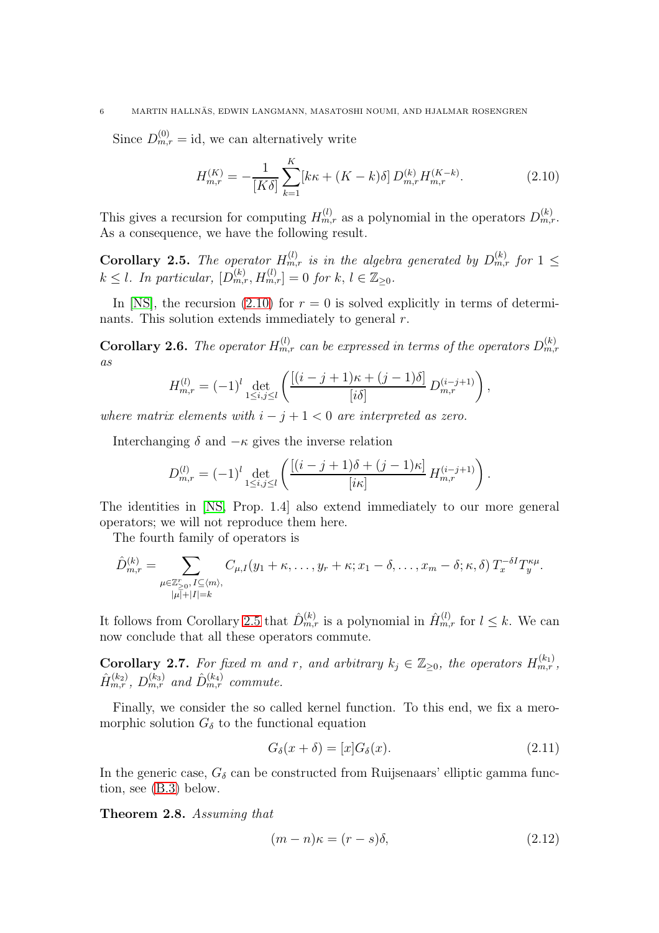#### 6 MARTIN HALLNÄS, EDWIN LANGMANN, MASATOSHI NOUMI, AND HJALMAR ROSENGREN

Since  $D_{m,r}^{(0)} = id$ , we can alternatively write

<span id="page-5-0"></span>
$$
H_{m,r}^{(K)} = -\frac{1}{[K\delta]} \sum_{k=1}^{K} [k\kappa + (K - k)\delta] D_{m,r}^{(k)} H_{m,r}^{(K-k)}.
$$
 (2.10)

This gives a recursion for computing  $H_{m,r}^{(l)}$  as a polynomial in the operators  $D_{m,r}^{(k)}$ . As a consequence, we have the following result.

<span id="page-5-1"></span>**Corollary 2.5.** The operator  $H_{m,r}^{(l)}$  is in the algebra generated by  $D_{m,r}^{(k)}$  for  $1 \leq$  $k \leq l$ . In particular,  $[D_{m,r}^{(k)}, H_{m,r}^{(l)}] = 0$  for  $k, l \in \mathbb{Z}_{\geq 0}$ .

In [\[NS\]](#page-28-4), the recursion [\(2.10\)](#page-5-0) for  $r = 0$  is solved explicitly in terms of determinants. This solution extends immediately to general r.

<span id="page-5-4"></span>**Corollary 2.6.** The operator  $H_{m,r}^{(l)}$  can be expressed in terms of the operators  $D_{m,r}^{(k)}$ as

$$
H_{m,r}^{(l)} = (-1)^l \det_{1 \le i,j \le l} \left( \frac{[(i-j+1)\kappa + (j-1)\delta]}{[i\delta]} D_{m,r}^{(i-j+1)} \right),
$$

where matrix elements with  $i - j + 1 < 0$  are interpreted as zero.

Interchanging  $\delta$  and  $-\kappa$  gives the inverse relation

$$
D_{m,r}^{(l)} = (-1)^l \det_{1 \le i,j \le l} \left( \frac{[(i-j+1)\delta + (j-1)\kappa]}{[i\kappa]} H_{m,r}^{(i-j+1)} \right).
$$

The identities in [\[NS,](#page-28-4) Prop. 1.4] also extend immediately to our more general operators; we will not reproduce them here.

The fourth family of operators is

$$
\hat{D}_{m,r}^{(k)} = \sum_{\substack{\mu \in \mathbb{Z}_{\geq 0}^r, I \subseteq \langle m \rangle, \\ |\mu| + |I| = k}} C_{\mu,I}(y_1 + \kappa, \dots, y_r + \kappa; x_1 - \delta, \dots, x_m - \delta; \kappa, \delta) T_x^{-\delta I} T_y^{\kappa \mu}.
$$

It follows from Corollary [2.5](#page-5-1) that  $\hat{D}_{m,r}^{(k)}$  is a polynomial in  $\hat{H}_{m,r}^{(l)}$  for  $l \leq k$ . We can now conclude that all these operators commute.

<span id="page-5-5"></span>**Corollary 2.7.** For fixed m and r, and arbitrary  $k_j \in \mathbb{Z}_{\geq 0}$ , the operators  $H_{m,r}^{(k_1)}$ ,  $\hat{H}_{m,r}^{(k_2)}$ ,  $D_{m,r}^{(k_3)}$  and  $\hat{D}_{m,r}^{(k_4)}$  commute.

Finally, we consider the so called kernel function. To this end, we fix a meromorphic solution  $G_{\delta}$  to the functional equation

<span id="page-5-6"></span>
$$
G_{\delta}(x+\delta) = [x]G_{\delta}(x). \tag{2.11}
$$

In the generic case,  $G_{\delta}$  can be constructed from Ruijsenaars' elliptic gamma function, see [\(B.3\)](#page-26-0) below.

<span id="page-5-3"></span>Theorem 2.8. Assuming that

<span id="page-5-2"></span>
$$
(m-n)\kappa = (r-s)\delta,
$$
\n(2.12)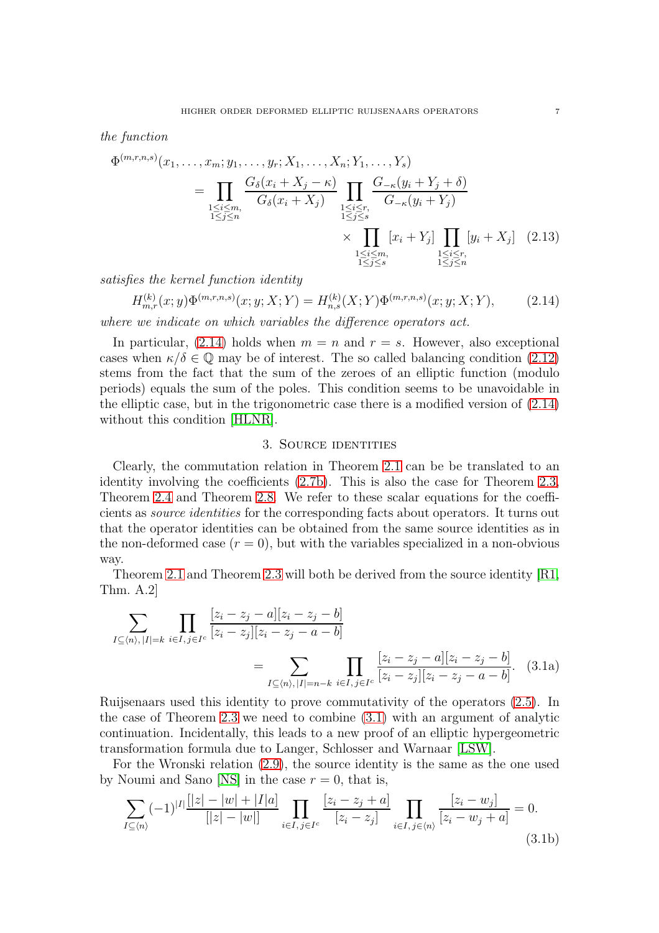the function

$$
\Phi^{(m,r,n,s)}(x_1, \ldots, x_m; y_1, \ldots, y_r; X_1, \ldots, X_n; Y_1, \ldots, Y_s)
$$
\n
$$
= \prod_{\substack{1 \le i \le m, \\ 1 \le j \le n}} \frac{G_{\delta}(x_i + X_j - \kappa)}{G_{\delta}(x_i + X_j)} \prod_{\substack{1 \le i \le r, \\ 1 \le j \le s}} \frac{G_{-\kappa}(y_i + Y_j + \delta)}{G_{-\kappa}(y_i + Y_j)}
$$
\n
$$
\times \prod_{\substack{1 \le i \le m, \\ 1 \le j \le n}} [x_i + Y_j] \prod_{\substack{1 \le i \le r, \\ 1 \le j \le n}} [y_i + X_j] \quad (2.13)
$$

satisfies the kernel function identity

<span id="page-6-0"></span>
$$
H_{m,r}^{(k)}(x;y)\Phi^{(m,r,n,s)}(x;y;X;Y) = H_{n,s}^{(k)}(X;Y)\Phi^{(m,r,n,s)}(x;y;X;Y),\tag{2.14}
$$

where we indicate on which variables the difference operators act.

In particular,  $(2.14)$  holds when  $m = n$  and  $r = s$ . However, also exceptional cases when  $\kappa/\delta \in \mathbb{Q}$  may be of interest. The so called balancing condition [\(2.12\)](#page-5-2) stems from the fact that the sum of the zeroes of an elliptic function (modulo periods) equals the sum of the poles. This condition seems to be unavoidable in the elliptic case, but in the trigonometric case there is a modified version of [\(2.14\)](#page-6-0) without this condition [\[HLNR\]](#page-27-9).

## <span id="page-6-4"></span><span id="page-6-3"></span>3. Source identities

Clearly, the commutation relation in Theorem [2.1](#page-4-1) can be be translated to an identity involving the coefficients [\(2.7b\)](#page-3-2). This is also the case for Theorem [2.3,](#page-4-0) Theorem [2.4](#page-4-2) and Theorem [2.8.](#page-5-3) We refer to these scalar equations for the coefficients as source identities for the corresponding facts about operators. It turns out that the operator identities can be obtained from the same source identities as in the non-deformed case  $(r = 0)$ , but with the variables specialized in a non-obvious way.

Theorem [2.1](#page-4-1) and Theorem [2.3](#page-4-0) will both be derived from the source identity [\[R1,](#page-28-2) Thm. A.2]

<span id="page-6-1"></span>
$$
\sum_{I \subseteq \langle n \rangle, |I| = k} \prod_{i \in I, j \in I^c} \frac{[z_i - z_j - a][z_i - z_j - b]}{[z_i - z_j][z_i - z_j - a - b]}
$$
  
= 
$$
\sum_{I \subseteq \langle n \rangle, |I| = n - k} \prod_{i \in I, j \in I^c} \frac{[z_i - z_j - a][z_i - z_j - b]}{[z_i - z_j][z_i - z_j - a - b]}.
$$
 (3.1a)

Ruijsenaars used this identity to prove commutativity of the operators [\(2.5\)](#page-3-3). In the case of Theorem [2.3](#page-4-0) we need to combine [\(3.1\)](#page-6-1) with an argument of analytic continuation. Incidentally, this leads to a new proof of an elliptic hypergeometric transformation formula due to Langer, Schlosser and Warnaar [\[LSW\]](#page-27-8).

For the Wronski relation [\(2.9\)](#page-4-3), the source identity is the same as the one used by Noumi and Sano [\[NS\]](#page-28-4) in the case  $r = 0$ , that is,

<span id="page-6-2"></span>
$$
\sum_{I \subseteq \langle n \rangle} (-1)^{|I|} \frac{[|z| - |w| + |I|a]}{[|z| - |w|]} \prod_{i \in I, j \in I^c} \frac{[z_i - z_j + a]}{[z_i - z_j]} \prod_{i \in I, j \in \langle n \rangle} \frac{[z_i - w_j]}{[z_i - w_j + a]} = 0.
$$
\n(3.1b)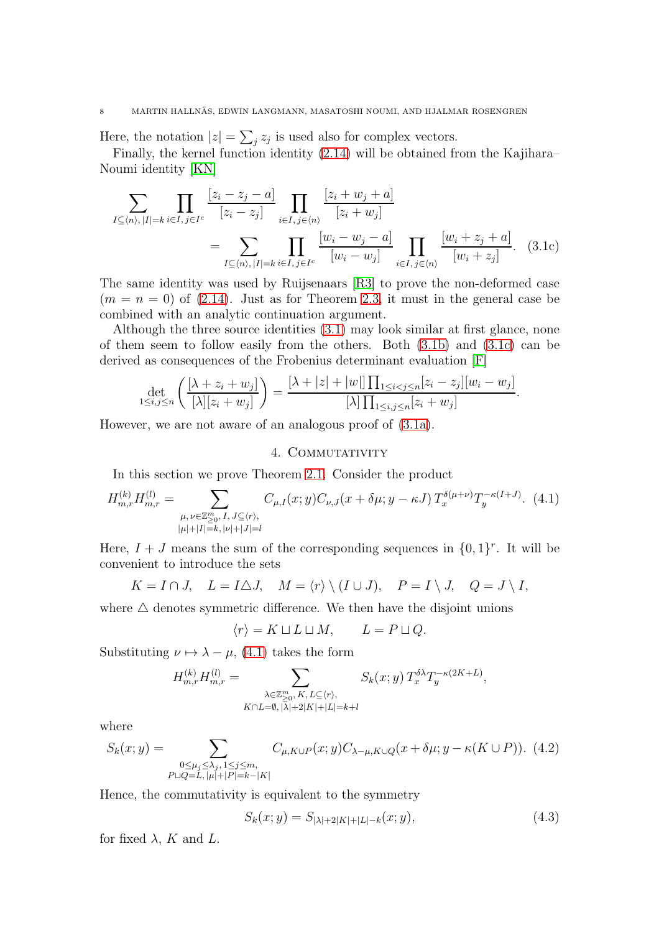Here, the notation  $|z| = \sum_j z_j$  is used also for complex vectors.

Finally, the kernel function identity [\(2.14\)](#page-6-0) will be obtained from the Kajihara– Noumi identity [\[KN\]](#page-27-7)

$$
\sum_{I \subseteq \langle n \rangle, |I| = k} \prod_{i \in I, j \in I^c} \frac{[z_i - z_j - a]}{[z_i - z_j]} \prod_{i \in I, j \in \langle n \rangle} \frac{[z_i + w_j + a]}{[z_i + w_j]}
$$
\n
$$
= \sum_{I \subseteq \langle n \rangle, |I| = k} \prod_{i \in I, j \in I^c} \frac{[w_i - w_j - a]}{[w_i - w_j]} \prod_{i \in I, j \in \langle n \rangle} \frac{[w_i + z_j + a]}{[w_i + z_j]}.
$$
\n(3.1c)

The same identity was used by Ruijsenaars [\[R3\]](#page-28-8) to prove the non-deformed case  $(m = n = 0)$  of  $(2.14)$ . Just as for Theorem [2.3,](#page-4-0) it must in the general case be combined with an analytic continuation argument.

Although the three source identities [\(3.1\)](#page-6-1) may look similar at first glance, none of them seem to follow easily from the others. Both [\(3.1b\)](#page-6-2) and [\(3.1c\)](#page-7-0) can be derived as consequences of the Frobenius determinant evaluation [\[F\]](#page-27-10)

$$
\det_{1 \le i,j \le n} \left( \frac{[\lambda + z_i + w_j]}{[\lambda][z_i + w_j]} \right) = \frac{[\lambda + |z| + |w|] \prod_{1 \le i < j \le n} [z_i - z_j][w_i - w_j]}{[\lambda] \prod_{1 \le i,j \le n} [z_i + w_j]}.
$$

However, we are not aware of an analogous proof of [\(3.1a\)](#page-6-3).

## <span id="page-7-0"></span>4. COMMUTATIVITY

In this section we prove Theorem [2.1.](#page-4-1) Consider the product

<span id="page-7-1"></span>
$$
H_{m,r}^{(k)}H_{m,r}^{(l)} = \sum_{\substack{\mu,\nu \in \mathbb{Z}_{\geq 0}^m, I, J \subseteq \langle r \rangle, \\ |\mu| + |I| = k, |\nu| + |J| = l}} C_{\mu,I}(x;y)C_{\nu,J}(x+\delta\mu;y-\kappa J) T_x^{\delta(\mu+\nu)}T_y^{-\kappa(I+J)}.
$$
 (4.1)

Here,  $I + J$  means the sum of the corresponding sequences in  $\{0, 1\}^r$ . It will be convenient to introduce the sets

$$
K = I \cap J, \quad L = I \triangle J, \quad M = \langle r \rangle \setminus (I \cup J), \quad P = I \setminus J, \quad Q = J \setminus I,
$$

where  $\triangle$  denotes symmetric difference. We then have the disjoint unions

$$
\langle r \rangle = K \sqcup L \sqcup M, \qquad L = P \sqcup Q.
$$

Substituting  $\nu \mapsto \lambda - \mu$ , [\(4.1\)](#page-7-1) takes the form

$$
H_{m,r}^{(k)}H_{m,r}^{(l)} = \sum_{\substack{\lambda \in \mathbb{Z}_{\geq 0}^m, K, L \subseteq \langle r \rangle, \\ K \cap L = \emptyset, |\lambda| + 2|K| + |L| = k+l}} S_k(x;y) T_x^{\delta \lambda} T_y^{-\kappa(2K+L)},
$$

where

<span id="page-7-2"></span>
$$
S_k(x; y) = \sum_{\substack{0 \le \mu_j \le \lambda_j, 1 \le j \le m, \\P \sqcup Q = L, |\mu| + |P| = k - |K|}} C_{\mu, K \cup P}(x; y) C_{\lambda - \mu, K \cup Q}(x + \delta \mu; y - \kappa(K \cup P)). \tag{4.2}
$$

Hence, the commutativity is equivalent to the symmetry

<span id="page-7-3"></span>
$$
S_k(x; y) = S_{|\lambda|+2|K|+|L|-k}(x; y), \tag{4.3}
$$

for fixed  $\lambda$ , K and L.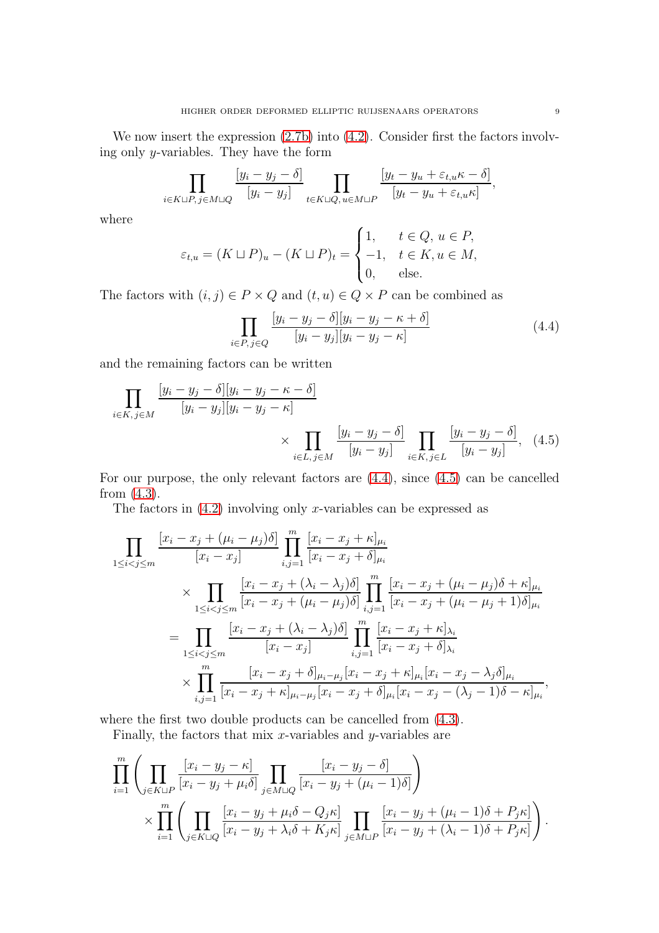We now insert the expression  $(2.7b)$  into  $(4.2)$ . Consider first the factors involving only y-variables. They have the form

$$
\prod_{i \in K \sqcup P, j \in M \sqcup Q} \frac{[y_i - y_j - \delta]}{[y_i - y_j]} \prod_{t \in K \sqcup Q, u \in M \sqcup P} \frac{[y_t - y_u + \varepsilon_{t,u} \kappa - \delta]}{[y_t - y_u + \varepsilon_{t,u} \kappa]},
$$

where

$$
\varepsilon_{t,u} = (K \sqcup P)_u - (K \sqcup P)_t = \begin{cases} 1, & t \in Q, u \in P, \\ -1, & t \in K, u \in M, \\ 0, & \text{else.} \end{cases}
$$

The factors with  $(i, j) \in P \times Q$  and  $(t, u) \in Q \times P$  can be combined as

<span id="page-8-1"></span><span id="page-8-0"></span>
$$
\prod_{i \in P, j \in Q} \frac{[y_i - y_j - \delta][y_i - y_j - \kappa + \delta]}{[y_i - y_j][y_i - y_j - \kappa]} \tag{4.4}
$$

and the remaining factors can be written

$$
\prod_{i \in K, j \in M} \frac{[y_i - y_j - \delta][y_i - y_j - \kappa - \delta]}{[y_i - y_j][y_i - y_j - \kappa]} \times \prod_{i \in L, j \in M} \frac{[y_i - y_j - \delta]}{[y_i - y_j]} \prod_{i \in K, j \in L} \frac{[y_i - y_j - \delta]}{[y_i - y_j]}, \quad (4.5)
$$

For our purpose, the only relevant factors are [\(4.4\)](#page-8-0), since [\(4.5\)](#page-8-1) can be cancelled from [\(4.3\)](#page-7-3).

The factors in  $(4.2)$  involving only x-variables can be expressed as

$$
\prod_{1 \leq i < j \leq m} \frac{[x_i - x_j + (\mu_i - \mu_j)\delta]}{[x_i - x_j]} \prod_{i,j=1}^m \frac{[x_i - x_j + \kappa]_{\mu_i}}{[x_i - x_j + \delta]_{\mu_i}} \\
\times \prod_{1 \leq i < j \leq m} \frac{[x_i - x_j + (\lambda_i - \lambda_j)\delta]}{[x_i - x_j + (\mu_i - \mu_j)\delta]} \prod_{i,j=1}^m \frac{[x_i - x_j + (\mu_i - \mu_j)\delta + \kappa]_{\mu_i}}{[x_i - x_j + (\mu_i - \mu_j + 1)\delta]_{\mu_i}} \\
= \prod_{1 \leq i < j \leq m} \frac{[x_i - x_j + (\lambda_i - \lambda_j)\delta]}{[x_i - x_j]} \prod_{i,j=1}^m \frac{[x_i - x_j + \kappa]_{\lambda_i}}{[x_i - x_j + \delta]_{\lambda_i}} \\
\times \prod_{i,j=1}^m \frac{[x_i - x_j + \delta]_{\mu_i - \mu_j}[x_i - x_j + \kappa]_{\mu_i}[x_i - x_j - \lambda_j\delta]_{\mu_i}}{[x_i - x_j + \kappa]_{\mu_i - \mu_j}[x_i - x_j + \delta]_{\mu_i}[x_i - x_j - (\lambda_j - 1)\delta - \kappa]_{\mu_i}},
$$

where the first two double products can be cancelled from [\(4.3\)](#page-7-3).

Finally, the factors that mix  $x$ -variables and  $y$ -variables are

$$
\prod_{i=1}^{m} \left( \prod_{j \in K \sqcup P} \frac{[x_i - y_j - \kappa]}{[x_i - y_j + \mu_i \delta]} \prod_{j \in M \sqcup Q} \frac{[x_i - y_j - \delta]}{[x_i - y_j + (\mu_i - 1)\delta]} \right) \times \prod_{i=1}^{m} \left( \prod_{j \in K \sqcup Q} \frac{[x_i - y_j + \mu_i \delta - Q_j \kappa]}{[x_i - y_j + \lambda_i \delta + K_j \kappa]} \prod_{j \in M \sqcup P} \frac{[x_i - y_j + (\mu_i - 1)\delta + P_j \kappa]}{[x_i - y_j + (\lambda_i - 1)\delta + P_j \kappa]} \right).
$$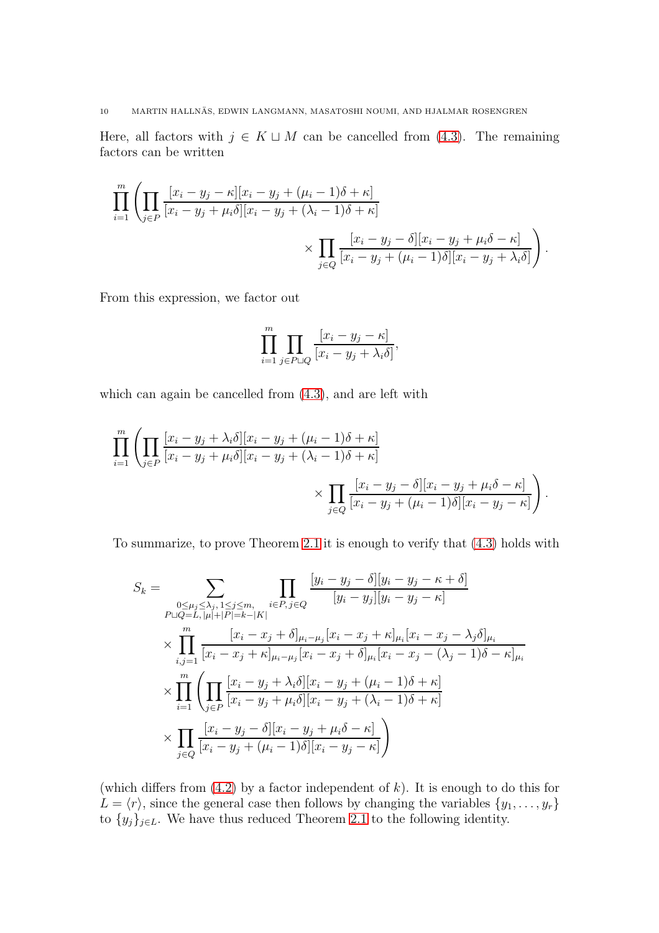Here, all factors with  $j \in K \sqcup M$  can be cancelled from [\(4.3\)](#page-7-3). The remaining factors can be written

$$
\prod_{i=1}^{m} \left( \prod_{j \in P} \frac{[x_i - y_j - \kappa][x_i - y_j + (\mu_i - 1)\delta + \kappa]}{[x_i - y_j + \mu_i \delta][x_i - y_j + (\lambda_i - 1)\delta + \kappa]} \right)
$$
\n
$$
\times \prod_{j \in Q} \frac{[x_i - y_j - \delta][x_i - y_j + \mu_i \delta - \kappa]}{[x_i - y_j + (\mu_i - 1)\delta][x_i - y_j + \lambda_i \delta]} \right).
$$

From this expression, we factor out

$$
\prod_{i=1}^{m} \prod_{j \in P \sqcup Q} \frac{[x_i - y_j - \kappa]}{[x_i - y_j + \lambda_i \delta]},
$$

which can again be cancelled from  $(4.3)$ , and are left with

$$
\prod_{i=1}^{m} \left( \prod_{j \in P} \frac{[x_i - y_j + \lambda_i \delta][x_i - y_j + (\mu_i - 1)\delta + \kappa]}{[x_i - y_j + \mu_i \delta][x_i - y_j + (\lambda_i - 1)\delta + \kappa]} \right) \times \prod_{j \in Q} \frac{[x_i - y_j - \delta][x_i - y_j + \mu_i \delta - \kappa]}{[x_i - y_j + (\mu_i - 1)\delta][x_i - y_j - \kappa]} \right).
$$

To summarize, to prove Theorem [2.1](#page-4-1) it is enough to verify that [\(4.3\)](#page-7-3) holds with

$$
S_k = \sum_{\substack{0 \le \mu_j \le \lambda_j, 1 \le j \le m, \\ P \sqcup Q = L, |\mu| + |P| = k - |K|}} \prod_{i \in P, j \in Q} \frac{[y_i - y_j - \delta][y_i - y_j - \kappa + \delta]}{[y_i - y_j][y_i - y_j - \kappa]}
$$
  

$$
\times \prod_{i,j=1}^m \frac{[x_i - x_j + \delta]_{\mu_i - \mu_j} [x_i - x_j + \kappa]_{\mu_i} [x_i - x_j - \lambda_j \delta]_{\mu_i}}{[x_i - x_j + \kappa]_{\mu_i - \mu_j} [x_i - x_j + \delta]_{\mu_i} [x_i - x_j - (\lambda_j - 1)\delta - \kappa]_{\mu_i}}
$$
  

$$
\times \prod_{i=1}^m \left( \prod_{j \in P} \frac{[x_i - y_j + \lambda_i \delta][x_i - y_j + (\mu_i - 1)\delta + \kappa]}{[x_i - y_j + \mu_i \delta][x_i - y_j + (\lambda_i - 1)\delta + \kappa]} \right)
$$
  

$$
\times \prod_{j \in Q} \frac{[x_i - y_j - \delta][x_i - y_j + \mu_i \delta - \kappa]}{[x_i - y_j + (\mu_i - 1)\delta][x_i - y_j - \kappa]}
$$

(which differs from  $(4.2)$  by a factor independent of k). It is enough to do this for  $L = \langle r \rangle$ , since the general case then follows by changing the variables  $\{y_1, \ldots, y_r\}$ to  $\{y_j\}_{j\in L}$ . We have thus reduced Theorem [2.1](#page-4-1) to the following identity.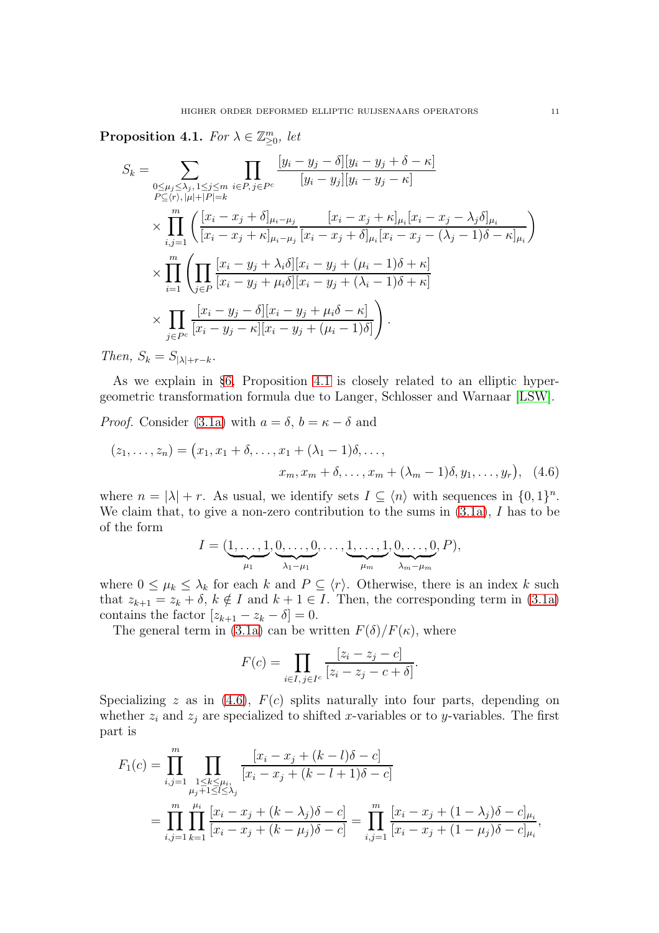<span id="page-10-0"></span>Proposition 4.1. For  $\lambda \in \mathbb{Z}_{\geq 0}^m$ , let

$$
S_k = \sum_{\substack{0 \le \mu_j \le \lambda_j, 1 \le j \le m \\ P \subseteq \langle r \rangle, |\mu| + |P| = k}} \prod_{i \in P, j \in P^c} \frac{[y_i - y_j - \delta][y_i - y_j + \delta - \kappa]}{[y_i - y_j][y_i - y_j - \kappa]}
$$
  
\$\times \prod\_{i,j=1}^m \left( \frac{[x\_i - x\_j + \delta]\_{\mu\_i - \mu\_j}}{[x\_i - x\_j + \kappa]\_{\mu\_i - \mu\_j}} \frac{[x\_i - x\_j + \kappa]\_{\mu\_i}[x\_i - x\_j - \lambda\_j \delta]\_{\mu\_i}}{[x\_i - x\_j - (\lambda\_j - 1)\delta - \kappa]\_{\mu\_i}} \right)}\$  
\$\times \prod\_{i=1}^m \left( \prod\_{j \in P} \frac{[x\_i - y\_j + \lambda\_i \delta][x\_i - y\_j + (\mu\_i - 1)\delta + \kappa]}{[x\_i - y\_j + \mu\_i \delta][x\_i - y\_j + (\lambda\_i - 1)\delta + \kappa]} \right\$  
\$\times \prod\_{j \in P^c} \frac{[x\_i - y\_j - \delta][x\_i - y\_j + \mu\_i \delta - \kappa]}{[x\_i - y\_j - \kappa][x\_i - y\_j + (\mu\_i - 1)\delta]} \right).

Then,  $S_k = S_{|\lambda|+r-k}$ .

As we explain in §[6,](#page-13-0) Proposition [4.1](#page-10-0) is closely related to an elliptic hypergeometric transformation formula due to Langer, Schlosser and Warnaar [\[LSW\]](#page-27-8).

*Proof.* Consider [\(3.1a\)](#page-6-3) with  $a = \delta$ ,  $b = \kappa - \delta$  and

$$
(z_1, ..., z_n) = (x_1, x_1 + \delta, ..., x_1 + (\lambda_1 - 1)\delta, ..., x_m, x_m + \delta, ..., x_m + (\lambda_m - 1)\delta, y_1, ..., y_r),
$$
 (4.6)

where  $n = |\lambda| + r$ . As usual, we identify sets  $I \subseteq \langle n \rangle$  with sequences in  $\{0, 1\}^n$ . We claim that, to give a non-zero contribution to the sums in  $(3.1a)$ , I has to be of the form

<span id="page-10-1"></span>
$$
I = (\underbrace{1,\ldots,1}_{\mu_1},\underbrace{0,\ldots,0}_{\lambda_1-\mu_1},\ldots,\underbrace{1,\ldots,1}_{\mu_m},\underbrace{0,\ldots,0}_{\lambda_m-\mu_m},P),
$$

where  $0 \leq \mu_k \leq \lambda_k$  for each k and  $P \subseteq \langle r \rangle$ . Otherwise, there is an index k such that  $z_{k+1} = z_k + \delta$ ,  $k \notin I$  and  $k+1 \in I$ . Then, the corresponding term in [\(3.1a\)](#page-6-3) contains the factor  $[z_{k+1} - z_k - \delta] = 0$ .

The general term in [\(3.1a\)](#page-6-3) can be written  $F(\delta)/F(\kappa)$ , where

$$
F(c) = \prod_{i \in I, j \in I^c} \frac{[z_i - z_j - c]}{[z_i - z_j - c + \delta]}.
$$

Specializing z as in [\(4.6\)](#page-10-1),  $F(c)$  splits naturally into four parts, depending on whether  $z_i$  and  $z_j$  are specialized to shifted x-variables or to y-variables. The first part is

$$
F_1(c) = \prod_{i,j=1}^m \prod_{\substack{1 \le k \le \mu_i, \\ \mu_j+1 \le l \le \lambda_j}} \frac{[x_i - x_j + (k-l)\delta - c]}{[x_i - x_j + (k-l+1)\delta - c]}
$$
  
= 
$$
\prod_{i,j=1}^m \prod_{k=1}^{\mu_i} \frac{[x_i - x_j + (k-\lambda_j)\delta - c]}{[x_i - x_j + (k-\mu_j)\delta - c]} = \prod_{i,j=1}^m \frac{[x_i - x_j + (1-\lambda_j)\delta - c]_{\mu_i}}{[x_i - x_j + (1-\mu_j)\delta - c]_{\mu_i}},
$$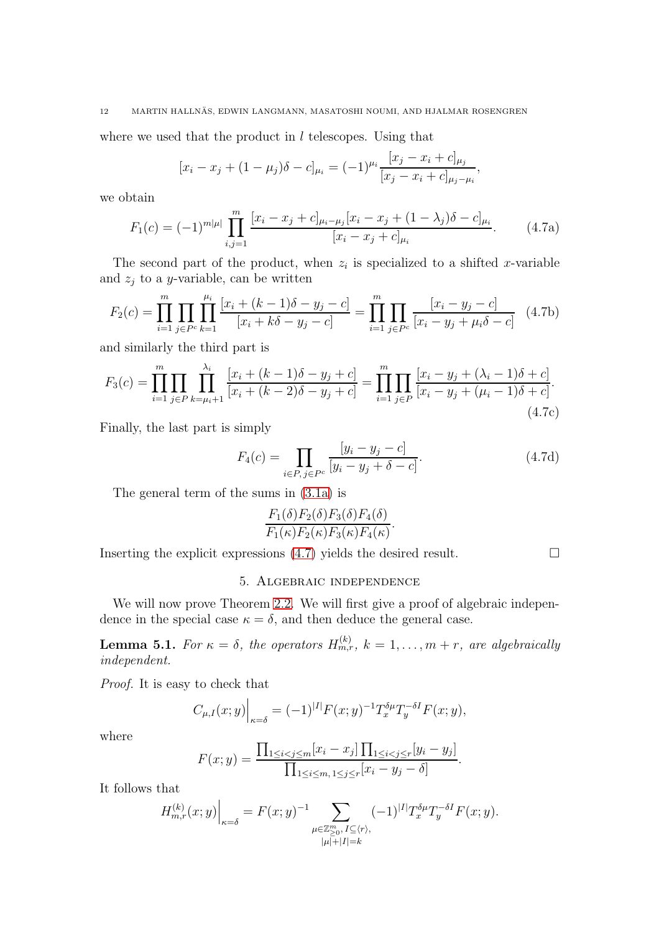where we used that the product in  $l$  telescopes. Using that

$$
[x_i - x_j + (1 - \mu_j)\delta - c]_{\mu_i} = (-1)^{\mu_i} \frac{[x_j - x_i + c]_{\mu_j}}{[x_j - x_i + c]_{\mu_j - \mu_i}},
$$

we obtain

<span id="page-11-0"></span>
$$
F_1(c) = (-1)^{m|\mu|} \prod_{i,j=1}^m \frac{[x_i - x_j + c]_{\mu_i - \mu_j} [x_i - x_j + (1 - \lambda_j)\delta - c]_{\mu_i}}{[x_i - x_j + c]_{\mu_i}}.
$$
(4.7a)

The second part of the product, when  $z_i$  is specialized to a shifted x-variable and  $z_j$  to a y-variable, can be written

$$
F_2(c) = \prod_{i=1}^m \prod_{j \in P^c} \prod_{k=1}^{\mu_i} \frac{[x_i + (k-1)\delta - y_j - c]}{[x_i + k\delta - y_j - c]} = \prod_{i=1}^m \prod_{j \in P^c} \frac{[x_i - y_j - c]}{[x_i - y_j + \mu_i \delta - c]} \tag{4.7b}
$$

and similarly the third part is

$$
F_3(c) = \prod_{i=1}^m \prod_{j \in P} \prod_{k=\mu_i+1}^{\lambda_i} \frac{[x_i + (k-1)\delta - y_j + c]}{[x_i + (k-2)\delta - y_j + c]} = \prod_{i=1}^m \prod_{j \in P} \frac{[x_i - y_j + (\lambda_i - 1)\delta + c]}{[x_i - y_j + (\mu_i - 1)\delta + c]}.
$$
\n(4.7c)

Finally, the last part is simply

$$
F_4(c) = \prod_{i \in P, j \in P^c} \frac{[y_i - y_j - c]}{[y_i - y_j + \delta - c]}.
$$
 (4.7d)

The general term of the sums in [\(3.1a\)](#page-6-3) is

$$
\frac{F_1(\delta)F_2(\delta)F_3(\delta)F_4(\delta)}{F_1(\kappa)F_2(\kappa)F_3(\kappa)F_4(\kappa)}.
$$

Inserting the explicit expressions  $(4.7)$  yields the desired result.

## 5. Algebraic independence

We will now prove Theorem [2.2.](#page-4-4) We will first give a proof of algebraic independence in the special case  $\kappa = \delta$ , and then deduce the general case.

<span id="page-11-1"></span>**Lemma 5.1.** For  $\kappa = \delta$ , the operators  $H_{m,r}^{(k)}$ ,  $k = 1, \ldots, m + r$ , are algebraically independent.

Proof. It is easy to check that

$$
C_{\mu,I}(x;y)\Big|_{\kappa=\delta} = (-1)^{|I|} F(x;y)^{-1} T_x^{\delta \mu} T_y^{-\delta I} F(x;y),
$$

where

$$
F(x; y) = \frac{\prod_{1 \le i < j \le m} [x_i - x_j] \prod_{1 \le i < j \le r} [y_i - y_j]}{\prod_{1 \le i \le m, 1 \le j \le r} [x_i - y_j - \delta]}.
$$

It follows that

$$
H_{m,r}^{(k)}(x;y)\Big|_{\kappa=\delta}=F(x;y)^{-1}\sum_{\substack{\mu\in\mathbb{Z}_{\geq 0}^m,\,I\subseteq\langle r\rangle,\\|\mu|+|I|=k}}(-1)^{|I|}T_x^{\delta\mu}T_y^{-\delta I}F(x;y).
$$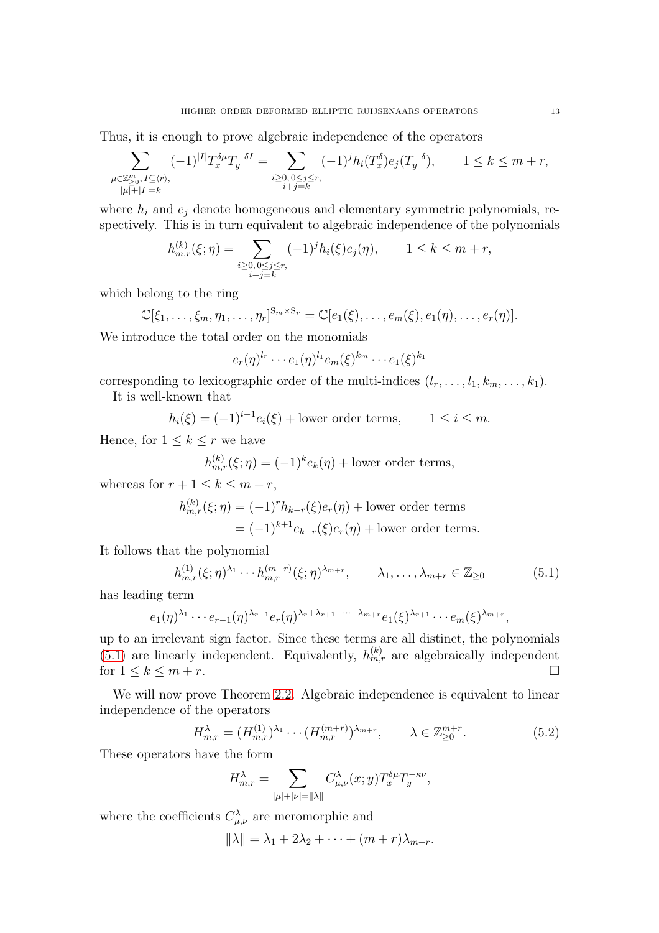Thus, it is enough to prove algebraic independence of the operators

$$
\sum_{\substack{\mu \in \mathbb{Z}_{\geq 0}^m, I \subseteq \langle r \rangle, \\ |\mu| + |I| = k}} (-1)^{|I|} T_x^{\delta \mu} T_y^{-\delta I} = \sum_{\substack{i \geq 0, 0 \leq j \leq r, \\ i+j=k}} (-1)^j h_i(T_x^{\delta}) e_j(T_y^{-\delta}), \qquad 1 \leq k \leq m+r,
$$

where  $h_i$  and  $e_j$  denote homogeneous and elementary symmetric polynomials, respectively. This is in turn equivalent to algebraic independence of the polynomials

$$
h_{m,r}^{(k)}(\xi;\eta) = \sum_{\substack{i \ge 0, 0 \le j \le r, \\ i+j=k}} (-1)^j h_i(\xi) e_j(\eta), \qquad 1 \le k \le m+r,
$$

which belong to the ring

$$
\mathbb{C}[\xi_1,\ldots,\xi_m,\eta_1,\ldots,\eta_r]^{S_m\times S_r}=\mathbb{C}[e_1(\xi),\ldots,e_m(\xi),e_1(\eta),\ldots,e_r(\eta)].
$$

We introduce the total order on the monomials

 $e_r(\eta)^{l_r}\cdots e_1(\eta)^{l_1}e_m(\xi)^{k_m}\cdots e_1(\xi)^{k_1}$ 

corresponding to lexicographic order of the multi-indices  $(l_r, \ldots, l_1, k_m, \ldots, k_1)$ .

It is well-known that

 $h_i(\xi) = (-1)^{i-1} e_i(\xi) + \text{lower order terms}, \qquad 1 \le i \le m.$ 

Hence, for  $1 \leq k \leq r$  we have

$$
h_{m,r}^{(k)}(\xi;\eta) = (-1)^k e_k(\eta) + \text{lower order terms},
$$

whereas for  $r + 1 \leq k \leq m + r$ ,

$$
h_{m,r}^{(k)}(\xi;\eta) = (-1)^r h_{k-r}(\xi)e_r(\eta) + \text{lower order terms}
$$
  
= 
$$
(-1)^{k+1} e_{k-r}(\xi)e_r(\eta) + \text{lower order terms.}
$$

It follows that the polynomial

<span id="page-12-0"></span>
$$
h_{m,r}^{(1)}(\xi;\eta)^{\lambda_1}\cdots h_{m,r}^{(m+r)}(\xi;\eta)^{\lambda_{m+r}}, \qquad \lambda_1,\ldots,\lambda_{m+r} \in \mathbb{Z}_{\geq 0}
$$
 (5.1)

has leading term

$$
e_1(\eta)^{\lambda_1} \cdots e_{r-1}(\eta)^{\lambda_{r-1}} e_r(\eta)^{\lambda_r+\lambda_{r+1}+\cdots+\lambda_{m+r}} e_1(\xi)^{\lambda_{r+1}} \cdots e_m(\xi)^{\lambda_{m+r}},
$$

up to an irrelevant sign factor. Since these terms are all distinct, the polynomials [\(5.1\)](#page-12-0) are linearly independent. Equivalently,  $h_{m,r}^{(k)}$  are algebraically independent for  $1 \leq k \leq m+r$ .

We will now prove Theorem [2.2.](#page-4-4) Algebraic independence is equivalent to linear independence of the operators

<span id="page-12-1"></span>
$$
H_{m,r}^{\lambda} = (H_{m,r}^{(1)})^{\lambda_1} \cdots (H_{m,r}^{(m+r)})^{\lambda_{m+r}}, \qquad \lambda \in \mathbb{Z}_{\geq 0}^{m+r}.
$$
 (5.2)

These operators have the form

$$
H_{m,r}^\lambda = \sum_{|\mu|+|\nu| = \|\lambda\|} C_{\mu,\nu}^\lambda(x;y) T_x^{\delta \mu} T_y^{-\kappa \nu},
$$

where the coefficients  $C_{\mu,\nu}^{\lambda}$  are meromorphic and

 $\|\lambda\| = \lambda_1 + 2\lambda_2 + \cdots + (m+r)\lambda_{m+r}.$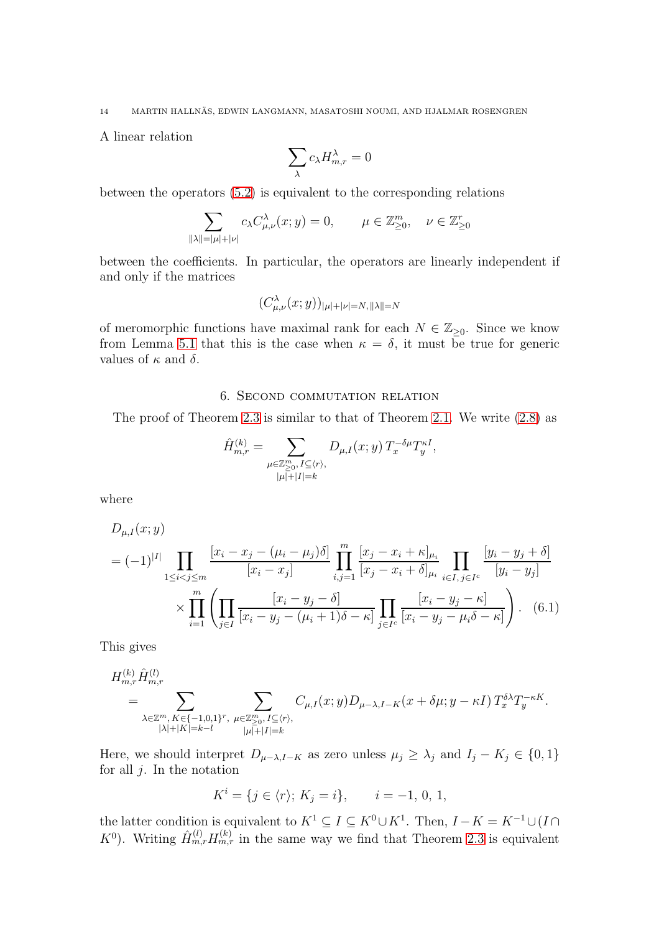A linear relation

$$
\sum_\lambda c_\lambda H^\lambda_{m,r}=0
$$

between the operators [\(5.2\)](#page-12-1) is equivalent to the corresponding relations

$$
\sum_{\|\lambda\| = |\mu| + |\nu|} c_{\lambda} C^{\lambda}_{\mu,\nu}(x; y) = 0, \qquad \mu \in \mathbb{Z}_{\geq 0}^m, \quad \nu \in \mathbb{Z}_{\geq 0}^r
$$

between the coefficients. In particular, the operators are linearly independent if and only if the matrices

$$
(C^\lambda_{\mu,\nu}(x;y))_{|\mu|+|\nu|=N,\, \|\lambda\|=N}
$$

of meromorphic functions have maximal rank for each  $N \in \mathbb{Z}_{\geq 0}$ . Since we know from Lemma [5.1](#page-11-1) that this is the case when  $\kappa = \delta$ , it must be true for generic values of  $\kappa$  and  $\delta$ .

## 6. Second commutation relation

<span id="page-13-0"></span>The proof of Theorem [2.3](#page-4-0) is similar to that of Theorem [2.1.](#page-4-1) We write [\(2.8\)](#page-4-5) as

<span id="page-13-1"></span>
$$
\hat{H}_{m,r}^{(k)} = \sum_{\substack{\mu \in \mathbb{Z}_{\geq 0}^m, I \subseteq \langle r \rangle, \\ |\mu| + |I| = k}} D_{\mu,I}(x;y) T_x^{-\delta \mu} T_y^{\kappa I},
$$

where

$$
D_{\mu, I}(x; y)
$$
  
=  $(-1)^{|I|}$ 
$$
\prod_{1 \le i < j \le m} \frac{[x_i - x_j - (\mu_i - \mu_j)\delta]}{[x_i - x_j]} \prod_{i,j=1}^m \frac{[x_j - x_i + \kappa]_{\mu_i}}{[x_j - x_i + \delta]_{\mu_i}} \prod_{i \in I, j \in I^c} \frac{[y_i - y_j + \delta]}{[y_i - y_j]}
$$

$$
\times \prod_{i=1}^m \left( \prod_{j \in I} \frac{[x_i - y_j - \delta]}{[x_i - y_j - (\mu_i + 1)\delta - \kappa]} \prod_{j \in I^c} \frac{[x_i - y_j - \kappa]}{[x_i - y_j - \mu_i \delta - \kappa]} \right). \tag{6.1}
$$

This gives

$$
H_{m,r}^{(k)}\hat{H}_{m,r}^{(l)} = \sum_{\substack{\lambda \in \mathbb{Z}^m, K \in \{-1,0,1\}^r, \\|\lambda| + |K| = k-l}} \sum_{\substack{\mu \in \mathbb{Z}_{\geq 0}^m, I \subseteq \langle r \rangle, \\|\mu| + |I| = k}} C_{\mu,I}(x;y) D_{\mu-\lambda,I-K}(x+\delta \mu; y - \kappa I) T_x^{\delta \lambda} T_y^{-\kappa K}.
$$

Here, we should interpret  $D_{\mu-\lambda,I-K}$  as zero unless  $\mu_j \geq \lambda_j$  and  $I_j - K_j \in \{0,1\}$ for all  $j$ . In the notation

$$
K^{i} = \{ j \in \langle r \rangle; K_{j} = i \}, \qquad i = -1, 0, 1,
$$

the latter condition is equivalent to  $K^1 \subseteq I \subseteq K^0 \cup K^1$ . Then,  $I - K = K^{-1} \cup (I \cap$  $K^0$ ). Writing  $\hat{H}_{m,r}^{(l)}H_{m,r}^{(k)}$  in the same way we find that Theorem [2.3](#page-4-0) is equivalent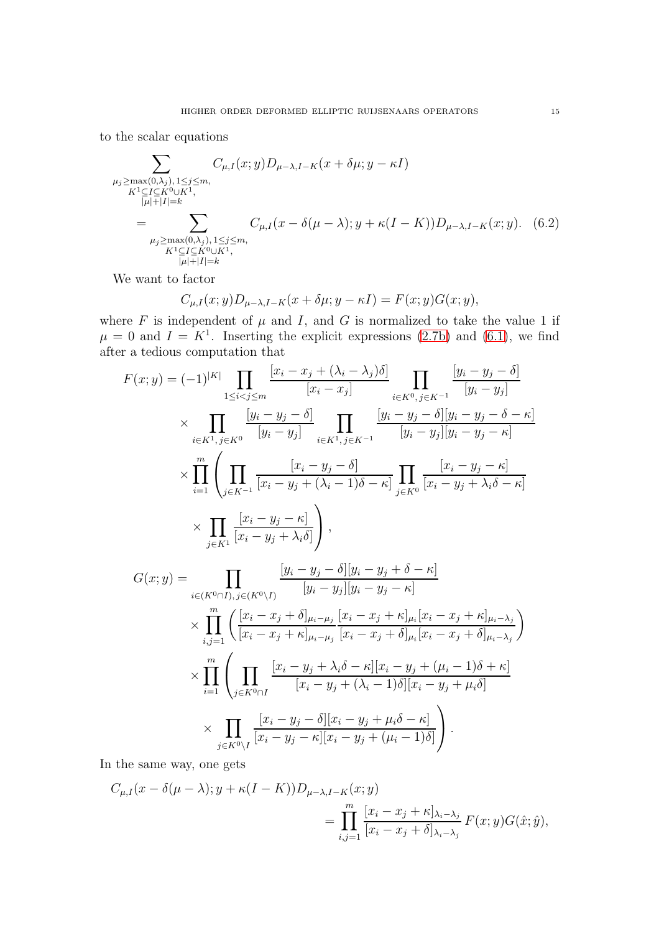to the scalar equations

$$
\sum_{\substack{\mu_j \ge \max(0,\lambda_j), 1 \le j \le m, \\ K^1 \subseteq I \subseteq K^0 \cup K^1, \\ |\mu| + |I| = k}} C_{\mu, I}(x; y) D_{\mu - \lambda, I - K}(x + \delta \mu; y - \kappa I) \n= \sum_{\substack{\mu_j \ge \max(0,\lambda_j), 1 \le j \le m, \\ K^1 \subseteq I \subseteq K^0 \cup K^1, \\ |\mu| + |I| = k}} C_{\mu, I}(x - \delta(\mu - \lambda); y + \kappa (I - K)) D_{\mu - \lambda, I - K}(x; y).
$$
(6.2)

We want to factor

<span id="page-14-0"></span>
$$
C_{\mu,I}(x;y)D_{\mu-\lambda,I-K}(x+\delta\mu;y-\kappa I)=F(x;y)G(x;y),
$$

where  $F$  is independent of  $\mu$  and  $I$ , and  $G$  is normalized to take the value 1 if  $\mu = 0$  and  $I = K^1$ . Inserting the explicit expressions [\(2.7b\)](#page-3-2) and [\(6.1\)](#page-13-1), we find after a tedious computation that

$$
F(x; y) = (-1)^{|K|} \prod_{1 \le i < j \le m} \frac{[x_i - x_j + (\lambda_i - \lambda_j)\delta]}{[x_i - x_j]} \prod_{i \in K^0, j \in K^{-1}} \frac{[y_i - y_j - \delta]}{[y_i - y_j]}
$$
\n
$$
\times \prod_{i \in K^1, j \in K^0} \frac{[y_i - y_j - \delta]}{[y_i - y_j]} \prod_{i \in K^1, j \in K^{-1}} \frac{[y_i - y_j - \delta][y_i - y_j - \delta - \kappa]}{[y_i - y_j][y_i - y_j - \kappa]}
$$
\n
$$
\times \prod_{i=1}^m \left( \prod_{j \in K^{-1}} \frac{[x_i - y_j - \delta]}{[x_i - y_j + (\lambda_i - 1)\delta - \kappa]} \prod_{j \in K^0} \frac{[x_i - y_j - \kappa]}{[x_i - y_j + \lambda_i \delta - \kappa]}
$$
\n
$$
\times \prod_{j \in K^1} \frac{[x_i - y_j - \kappa]}{[x_i - y_j + \lambda_i \delta]} \right),
$$

$$
G(x; y) = \prod_{i \in (K^{0} \cap I), j \in (K^{0} \setminus I)} \frac{[y_{i} - y_{j} - \delta][y_{i} - y_{j} + \delta - \kappa]}{[y_{i} - y_{j}][y_{i} - y_{j} - \kappa]} \\
\times \prod_{i,j=1}^{m} \left( \frac{[x_{i} - x_{j} + \delta]_{\mu_{i} - \mu_{j}}}{[x_{i} - x_{j} + \kappa]_{\mu_{i}} [x_{i} - x_{j} + \kappa]_{\mu_{i}} [x_{i} - x_{j} + \delta]_{\mu_{i} - \lambda_{j}}}{[x_{i} - x_{j} + \delta]_{\mu_{i}} [x_{i} - x_{j} + \delta]_{\mu_{i} - \lambda_{j}}} \right) \\
\times \prod_{i=1}^{m} \left( \prod_{j \in K^{0} \cap I} \frac{[x_{i} - y_{j} + \lambda_{i} \delta - \kappa][x_{i} - y_{j} + (\mu_{i} - 1)\delta + \kappa]}{[x_{i} - y_{j} + (\lambda_{i} - 1)\delta][x_{i} - y_{j} + \mu_{i} \delta]} \\
\times \prod_{j \in K^{0} \setminus I} \frac{[x_{i} - y_{j} - \delta][x_{i} - y_{j} + \mu_{i} \delta - \kappa]}{[x_{i} - y_{j} - \kappa][x_{i} - y_{j} + (\mu_{i} - 1)\delta]} \right).
$$

In the same way, one gets

$$
C_{\mu,I}(x - \delta(\mu - \lambda); y + \kappa(I - K))D_{\mu - \lambda, I - K}(x; y)
$$
  
= 
$$
\prod_{i,j=1}^m \frac{[x_i - x_j + \kappa]_{\lambda_i - \lambda_j}}{[x_i - x_j + \delta]_{\lambda_i - \lambda_j}} F(x; y)G(\hat{x}; \hat{y}),
$$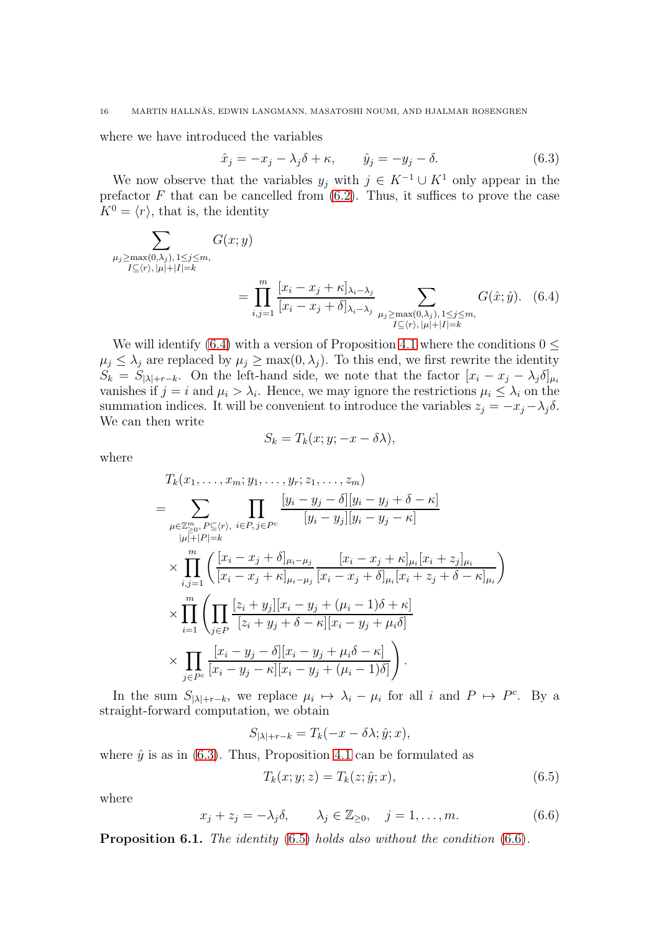where we have introduced the variables

<span id="page-15-1"></span>
$$
\hat{x}_j = -x_j - \lambda_j \delta + \kappa, \qquad \hat{y}_j = -y_j - \delta. \tag{6.3}
$$

We now observe that the variables  $y_j$  with  $j \in K^{-1} \cup K^1$  only appear in the prefactor  $F$  that can be cancelled from  $(6.2)$ . Thus, it suffices to prove the case  $K^0 = \langle r \rangle$ , that is, the identity

$$
\sum_{\substack{\mu_j \ge \max(0,\lambda_j), 1 \le j \le m, \\ I \subseteq \langle r \rangle, |\mu| + |I| = k}} G(x; y)
$$
\n
$$
= \prod_{i,j=1}^m \frac{[x_i - x_j + \kappa]_{\lambda_i - \lambda_j}}{[x_i - x_j + \delta]_{\lambda_i - \lambda_j}} \sum_{\substack{\mu_j \ge \max(0,\lambda_j), 1 \le j \le m, \\ I \subseteq \langle r \rangle, |\mu| + |I| = k}} G(\hat{x}; \hat{y}). \quad (6.4)
$$

We will identify [\(6.4\)](#page-15-0) with a version of Proposition [4.1](#page-10-0) where the conditions  $0 \leq$  $\mu_j \leq \lambda_j$  are replaced by  $\mu_j \geq \max(0, \lambda_j)$ . To this end, we first rewrite the identity  $S_k = S_{|\lambda|+r-k}$ . On the left-hand side, we note that the factor  $[x_i - x_j - \lambda_j \delta]_{\mu_i}$ vanishes if  $j = i$  and  $\mu_i > \lambda_i$ . Hence, we may ignore the restrictions  $\mu_i \leq \lambda_i$  on the summation indices. It will be convenient to introduce the variables  $z_i = -x_i - \lambda_i \delta$ . We can then write

<span id="page-15-0"></span>
$$
S_k = T_k(x; y; -x - \delta \lambda),
$$

where

$$
T_{k}(x_{1},...,x_{m}; y_{1},...,y_{r}; z_{1},...,z_{m})
$$
\n
$$
= \sum_{\mu \in \mathbb{Z}_{\geq 0}^{m}, P \subseteq \langle r \rangle, i \in P, j \in P^{c}} \prod_{[y_{i} - y_{j}][y_{i} - y_{j} - \kappa]} \frac{[y_{i} - y_{j} - \delta][y_{i} - y_{j} + \delta - \kappa]}{[y_{i} - y_{j}][y_{i} - y_{j} - \kappa]} \times \prod_{i,j=1}^{m} \left( \frac{[x_{i} - x_{j} + \delta]_{\mu_{i} - \mu_{j}}}{[x_{i} - x_{j} + \kappa]_{\mu_{i} - \mu_{j}}} \frac{[x_{i} - x_{j} + \kappa]_{\mu_{i}} [x_{i} + z_{j}]_{\mu_{i}}}{[x_{i} + z_{j} + \delta - \kappa]_{\mu_{i}}} \right) \times \prod_{i=1}^{m} \left( \prod_{j \in P} \frac{[z_{i} + y_{j}][x_{i} - y_{j} + (\mu_{i} - 1)\delta + \kappa]}{[z_{i} + y_{j} + \delta - \kappa] [x_{i} - y_{j} + \mu_{i}\delta]} \times \prod_{j \in P^{c}} \frac{[x_{i} - y_{j} - \delta][x_{i} - y_{j} + \mu_{i}\delta - \kappa]}{[x_{i} - y_{j} - \kappa] [x_{i} - y_{j} + (\mu_{i} - 1)\delta]} \right).
$$

In the sum  $S_{|\lambda|+r-k}$ , we replace  $\mu_i \mapsto \lambda_i - \mu_i$  for all i and  $P \mapsto P^c$ . By a straight-forward computation, we obtain

$$
S_{|\lambda|+r-k} = T_k(-x - \delta\lambda; \hat{y}; x),
$$

where  $\hat{y}$  is as in [\(6.3\)](#page-15-1). Thus, Proposition [4.1](#page-10-0) can be formulated as

<span id="page-15-2"></span>
$$
T_k(x; y; z) = T_k(z; \hat{y}; x),\tag{6.5}
$$

where

<span id="page-15-3"></span>
$$
x_j + z_j = -\lambda_j \delta, \qquad \lambda_j \in \mathbb{Z}_{\geq 0}, \quad j = 1, \dots, m. \tag{6.6}
$$

<span id="page-15-4"></span>**Proposition 6.1.** The identity  $(6.5)$  holds also without the condition  $(6.6)$ .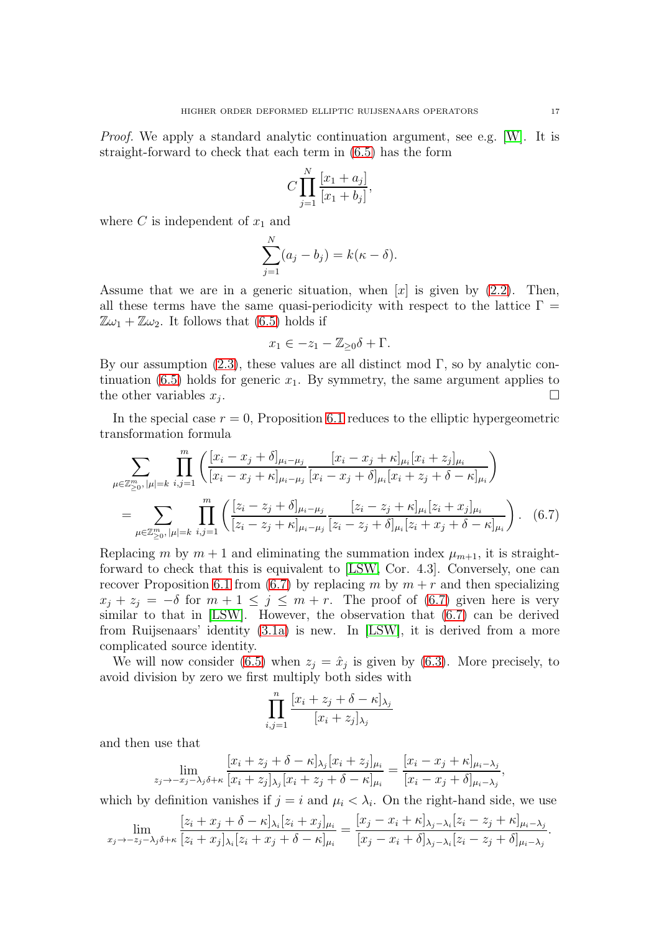Proof. We apply a standard analytic continuation argument, see e.g. [\[W\]](#page-28-9). It is straight-forward to check that each term in [\(6.5\)](#page-15-2) has the form

$$
C\prod_{j=1}^{N}\frac{[x_1+a_j]}{[x_1+b_j]},
$$

where C is independent of  $x_1$  and

$$
\sum_{j=1}^{N} (a_j - b_j) = k(\kappa - \delta).
$$

Assume that we are in a generic situation, when  $[x]$  is given by [\(2.2\)](#page-2-2). Then, all these terms have the same quasi-periodicity with respect to the lattice  $\Gamma =$  $\mathbb{Z}\omega_1 + \mathbb{Z}\omega_2$ . It follows that [\(6.5\)](#page-15-2) holds if

<span id="page-16-0"></span>
$$
x_1 \in -z_1 - \mathbb{Z}_{\geq 0}\delta + \Gamma.
$$

By our assumption  $(2.3)$ , these values are all distinct mod Γ, so by analytic con-tinuation [\(6.5\)](#page-15-2) holds for generic  $x_1$ . By symmetry, the same argument applies to the other variables  $x_i$ . .

In the special case  $r = 0$ , Proposition [6.1](#page-15-4) reduces to the elliptic hypergeometric transformation formula

$$
\sum_{\mu \in \mathbb{Z}_{\geq 0}^m, |\mu| = k} \prod_{i,j=1}^m \left( \frac{[x_i - x_j + \delta]_{\mu_i - \mu_j}}{[x_i - x_j + \kappa]_{\mu_i - \mu_j}} \frac{[x_i - x_j + \kappa]_{\mu_i} [x_i + z_j]_{\mu_i}}{[x_i - x_j + \delta]_{\mu_i} [x_i + z_j + \delta - \kappa]_{\mu_i}} \right)
$$
\n
$$
= \sum_{\mu \in \mathbb{Z}_{\geq 0}^m, |\mu| = k} \prod_{i,j=1}^m \left( \frac{[z_i - z_j + \delta]_{\mu_i - \mu_j}}{[z_i - z_j + \kappa]_{\mu_i - \mu_j}} \frac{[z_i - z_j + \kappa]_{\mu_i} [z_i + x_j]_{\mu_i}}{[z_i - z_j + \delta]_{\mu_i} [z_i + x_j + \delta - \kappa]_{\mu_i}} \right). \tag{6.7}
$$

Replacing m by  $m + 1$  and eliminating the summation index  $\mu_{m+1}$ , it is straightforward to check that this is equivalent to [\[LSW,](#page-27-8) Cor. 4.3]. Conversely, one can recover Proposition [6.1](#page-15-4) from [\(6.7\)](#page-16-0) by replacing m by  $m + r$  and then specializing  $x_j + z_j = -\delta$  for  $m + 1 \leq j \leq m + r$ . The proof of [\(6.7\)](#page-16-0) given here is very similar to that in [\[LSW\]](#page-27-8). However, the observation that [\(6.7\)](#page-16-0) can be derived from Ruijsenaars' identity [\(3.1a\)](#page-6-3) is new. In [\[LSW\]](#page-27-8), it is derived from a more complicated source identity.

We will now consider [\(6.5\)](#page-15-2) when  $z_j = \hat{x}_j$  is given by [\(6.3\)](#page-15-1). More precisely, to avoid division by zero we first multiply both sides with

$$
\prod_{i,j=1}^n \frac{[x_i + z_j + \delta - \kappa]_{\lambda_j}}{[x_i + z_j]_{\lambda_j}}
$$

and then use that

$$
\lim_{z_j \to -x_j - \lambda_j \delta + \kappa} \frac{[x_i + z_j + \delta - \kappa]_{\lambda_j} [x_i + z_j]_{\mu_i}}{[x_i + z_j]_{\lambda_j} [x_i + z_j + \delta - \kappa]_{\mu_i}} = \frac{[x_i - x_j + \kappa]_{\mu_i - \lambda_j}}{[x_i - x_j + \delta]_{\mu_i - \lambda_j}},
$$

which by definition vanishes if  $j = i$  and  $\mu_i < \lambda_i$ . On the right-hand side, we use

$$
\lim_{x_j \to -z_j - \lambda_j \delta + \kappa} \frac{[z_i + x_j + \delta - \kappa]_{\lambda_i} [z_i + x_j]_{\mu_i}}{[z_i + x_j]_{\lambda_i} [z_i + x_j + \delta - \kappa]_{\mu_i}} = \frac{[x_j - x_i + \kappa]_{\lambda_j - \lambda_i} [z_i - z_j + \kappa]_{\mu_i - \lambda_j}}{[x_j - x_i + \delta]_{\lambda_j - \lambda_i} [z_i - z_j + \delta]_{\mu_i - \lambda_j}}.
$$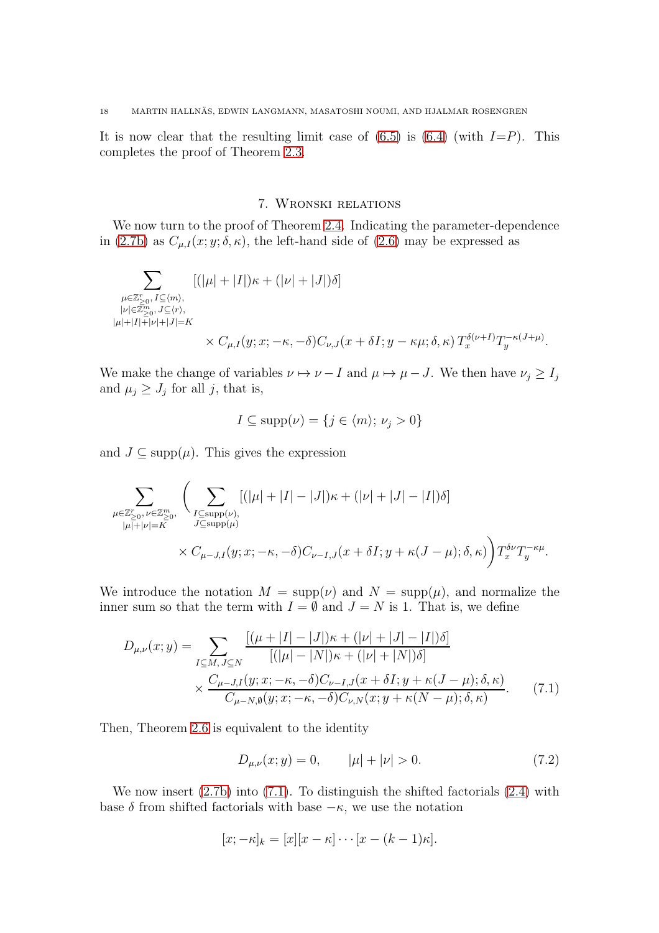It is now clear that the resulting limit case of  $(6.5)$  is  $(6.4)$  (with  $I=P$ ). This completes the proof of Theorem [2.3.](#page-4-0)

# 7. Wronski relations

We now turn to the proof of Theorem [2.4.](#page-4-2) Indicating the parameter-dependence in [\(2.7b\)](#page-3-2) as  $C_{\mu,I}(x; y; \delta, \kappa)$ , the left-hand side of [\(2.6\)](#page-3-4) may be expressed as

$$
\sum_{\substack{\mu \in \mathbb{Z}^r_{\geq 0},\, I \subseteq \langle m\rangle, \\ |\nu| \in \mathbb{Z}^m_{\geq 0},\, J \subseteq \langle r\rangle, \\ |\mu| + |I| + |\nu| + |J| = K}}[ (|\mu| + |I|) \kappa + (|\nu| + |J|) \delta ] \\ \times C_{\mu,I}(y;x; -\kappa, -\delta) C_{\nu,J}(x+\delta I; y-\kappa\mu; \delta, \kappa)\, T^{\delta(\nu+I)}_x T^{\,-\kappa(J+\mu)}_y.
$$

We make the change of variables  $\nu \mapsto \nu - I$  and  $\mu \mapsto \mu - J$ . We then have  $\nu_j \geq I_j$ and  $\mu_j \geq J_j$  for all j, that is,

$$
I \subseteq \text{supp}(\nu) = \{ j \in \langle m \rangle; \, \nu_j > 0 \}
$$

and  $J \subseteq \text{supp}(\mu)$ . This gives the expression

$$
\sum_{\substack{\mu \in \mathbb{Z}_{\geq 0}^r, \nu \in \mathbb{Z}_{\geq 0}^m, \\ |\mu| + |\nu| = K}} \left( \sum_{\substack{I \subseteq \text{supp}(\nu), \\ J \subseteq \text{supp}(\mu)}} [(|\mu| + |I| - |J|)\kappa + (|\nu| + |J| - |I|)\delta] \times C_{\mu-J,I}(y; x; -\kappa, -\delta) C_{\nu-I,J}(x + \delta I; y + \kappa(J - \mu); \delta, \kappa) \right) T_x^{\delta \nu} T_y^{-\kappa \mu}.
$$

We introduce the notation  $M = \text{supp}(\nu)$  and  $N = \text{supp}(\mu)$ , and normalize the inner sum so that the term with  $I = \emptyset$  and  $J = N$  is 1. That is, we define

$$
D_{\mu,\nu}(x;y) = \sum_{I \subseteq M, J \subseteq N} \frac{\left[ (\mu + |I| - |J|) \kappa + (|\nu| + |J| - |I|) \delta \right]}{\left[ (|\mu| - |N|) \kappa + (|\nu| + |N|) \delta \right]} \times \frac{C_{\mu-J,I}(y;x; -\kappa, -\delta) C_{\nu-I,J}(x+\delta I; y+\kappa(J-\mu); \delta, \kappa)}{C_{\mu-N,\emptyset}(y;x; -\kappa, -\delta) C_{\nu,N}(x;y+\kappa(N-\mu); \delta, \kappa)}.
$$
(7.1)

Then, Theorem [2.6](#page-3-4) is equivalent to the identity

<span id="page-17-1"></span><span id="page-17-0"></span>
$$
D_{\mu,\nu}(x;y) = 0, \qquad |\mu| + |\nu| > 0. \tag{7.2}
$$

We now insert  $(2.7b)$  into  $(7.1)$ . To distinguish the shifted factorials  $(2.4)$  with base  $\delta$  from shifted factorials with base  $-\kappa$ , we use the notation

$$
[x; -\kappa]_k = [x][x - \kappa] \cdots [x - (k-1)\kappa].
$$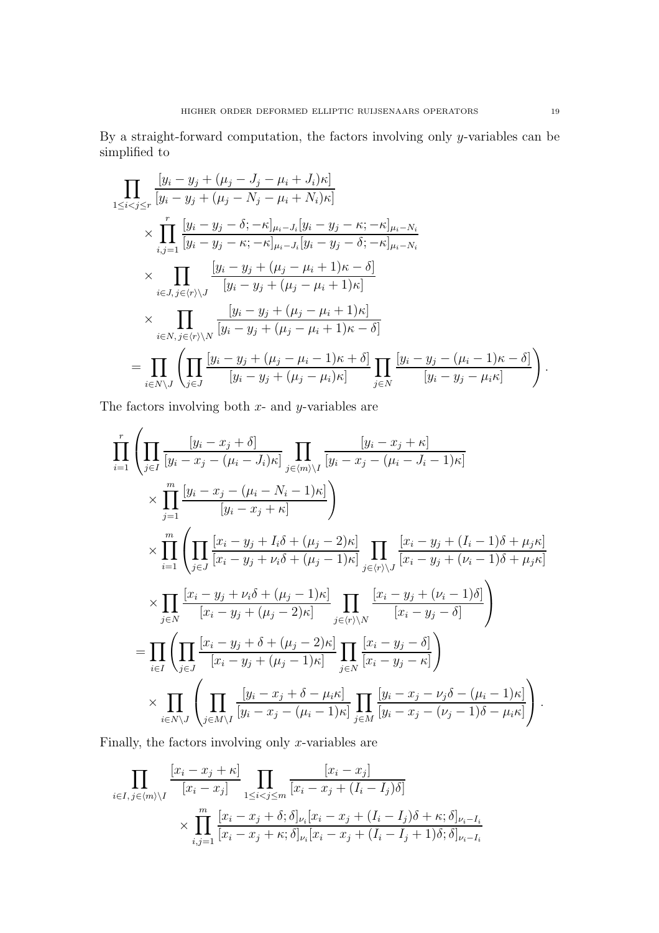By a straight-forward computation, the factors involving only y-variables can be simplified to

$$
\prod_{1 \leq i < j \leq r} \frac{[y_i - y_j + (\mu_j - J_j - \mu_i + J_i)\kappa]}{[y_i - y_j + (\mu_j - N_j - \mu_i + N_i)\kappa]} \\
\times \prod_{i,j=1}^r \frac{[y_i - y_j - \delta; -\kappa]_{\mu_i - J_i} [y_i - y_j - \kappa; -\kappa]_{\mu_i - N_i}}{[y_i - y_j - \kappa; -\kappa]_{\mu_i - J_i} [y_i - y_j - \delta; -\kappa]_{\mu_i - N_i}} \\
\times \prod_{i \in J, j \in \langle r \rangle \setminus J} \frac{[y_i - y_j + (\mu_j - \mu_i + 1)\kappa - \delta]}{[y_i - y_j + (\mu_j - \mu_i + 1)\kappa]} \\
\times \prod_{i \in N, j \in \langle r \rangle \setminus N} \frac{[y_i - y_j + (\mu_j - \mu_i + 1)\kappa]}{[y_i - y_j + (\mu_j - \mu_i + 1)\kappa - \delta]} \\
= \prod_{i \in N \setminus J} \left( \prod_{j \in J} \frac{[y_i - y_j + (\mu_j - \mu_i - 1)\kappa + \delta]}{[y_i - y_j + (\mu_j - \mu_i)\kappa]} \prod_{j \in N} \frac{[y_i - y_j - (\mu_i - 1)\kappa - \delta]}{[y_i - y_j - \mu_i\kappa]} \right).
$$

The factors involving both  $x$ - and  $y$ -variables are

$$
\prod_{i=1}^{r} \left( \prod_{j \in I} \frac{[y_i - x_j + \delta]}{[y_i - x_j - (\mu_i - J_i)\kappa]} \prod_{j \in \langle m \rangle \setminus I} \frac{[y_i - x_j + \kappa]}{[y_i - x_j - (\mu_i - J_i - 1)\kappa]} \right)
$$
\n
$$
\times \prod_{j=1}^{m} \frac{[y_i - x_j - (\mu_i - N_i - 1)\kappa]}{[y_i - x_j + \kappa]} \right)
$$
\n
$$
\times \prod_{i=1}^{m} \left( \prod_{j \in J} \frac{[x_i - y_j + I_i\delta + (\mu_j - 2)\kappa]}{[x_i - y_j + \nu_i\delta + (\mu_j - 1)\kappa]} \prod_{j \in \langle r \rangle \setminus J} \frac{[x_i - y_j + (I_i - 1)\delta + \mu_j\kappa]}{[x_i - y_j + (\nu_i - 1)\delta + \mu_j\kappa]} \right)
$$
\n
$$
\times \prod_{j \in N} \frac{[x_i - y_j + \nu_i\delta + (\mu_j - 1)\kappa]}{[x_i - y_j + (\mu_j - 2)\kappa]} \prod_{j \in \langle r \rangle \setminus N} \frac{[x_i - y_j + (\nu_i - 1)\delta]}{[x_i - y_j - \delta]}
$$
\n
$$
= \prod_{i \in I} \left( \prod_{j \in J} \frac{[x_i - y_j + \delta + (\mu_j - 2)\kappa]}{[x_i - y_j + (\mu_j - 1)\kappa]} \prod_{j \in N} \frac{[x_i - y_j - \delta]}{[x_i - y_j - \kappa]} \right)
$$
\n
$$
\times \prod_{i \in N \setminus J} \left( \prod_{j \in M \setminus I} \frac{[y_i - x_j + \delta - \mu_i\kappa]}{[y_i - x_j - (\mu_i - 1)\kappa]} \prod_{j \in M} \frac{[y_i - x_j - \nu_j\delta - (\mu_i - 1)\kappa]}{[y_i - x_j - (\nu_j - 1)\delta - \mu_i\kappa]} \right).
$$

Finally, the factors involving only  $x$ -variables are

$$
\prod_{i \in I, j \in \langle m \rangle \setminus I} \frac{[x_i - x_j + \kappa]}{[x_i - x_j]} \prod_{1 \le i < j \le m} \frac{[x_i - x_j]}{[x_i - x_j + (I_i - I_j)\delta]}
$$
\n
$$
\times \prod_{i,j=1}^m \frac{[x_i - x_j + \delta; \delta]_{\nu_i} [x_i - x_j + (I_i - I_j)\delta + \kappa; \delta]_{\nu_i - I_i}}{[x_i - x_j + \kappa; \delta]_{\nu_i} [x_i - x_j + (I_i - I_j + 1)\delta; \delta]_{\nu_i - I_i}}
$$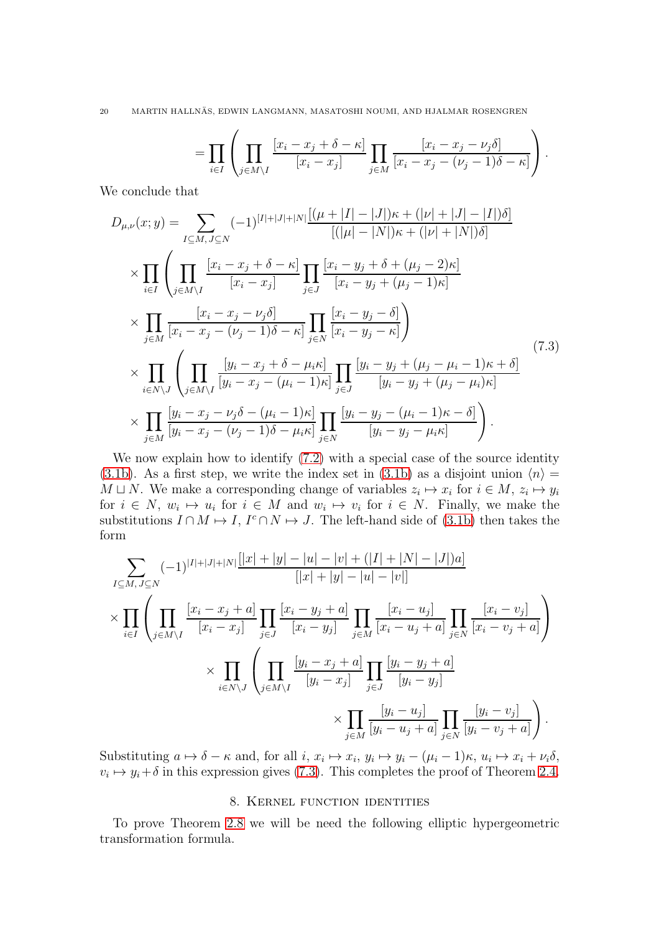20 MARTIN HALLNAS, EDWIN LANGMANN, MASATOSHI NOUMI, AND HJALMAR ROSENGREN ¨

<span id="page-19-0"></span>
$$
= \prod_{i\in I} \left( \prod_{j\in M\setminus I} \frac{[x_i - x_j + \delta - \kappa]}{[x_i - x_j]} \prod_{j\in M} \frac{[x_i - x_j - \nu_j \delta]}{[x_i - x_j - (\nu_j - 1)\delta - \kappa]} \right).
$$

We conclude that

$$
D_{\mu,\nu}(x;y) = \sum_{I \subseteq M, J \subseteq N} (-1)^{|I|+|J|+|N|} \frac{[(\mu+|I|-|J|)\kappa + (|\nu|+|J|-|I|)\delta]}{[(|\mu|-|N|)\kappa + (|\nu|+|N|)\delta]}
$$
  
\n
$$
\times \prod_{i \in I} \left( \prod_{j \in M \setminus I} \frac{[x_i - x_j + \delta - \kappa]}{[x_i - x_j]} \prod_{j \in J} \frac{[x_i - y_j + \delta + (\mu_j - 2)\kappa]}{[x_i - y_j + (\mu_j - 1)\kappa]} \right)
$$
  
\n
$$
\times \prod_{j \in M} \frac{[x_i - x_j - \nu_j \delta]}{[x_i - x_j - (\nu_j - 1)\delta - \kappa]} \prod_{j \in N} \frac{[x_i - y_j - \delta]}{[x_i - y_j - \kappa]} \right)
$$
  
\n
$$
\times \prod_{i \in N \setminus J} \left( \prod_{j \in M \setminus I} \frac{[y_i - x_j + \delta - \mu_i \kappa]}{[y_i - x_j - (\mu_i - 1)\kappa]} \prod_{j \in J} \frac{[y_i - y_j + (\mu_j - \mu_i - 1)\kappa + \delta]}{[y_i - y_j + (\mu_j - \mu_i)\kappa]} \right)
$$
  
\n
$$
\times \prod_{j \in M} \frac{[y_i - x_j - \nu_j \delta - (\mu_i - 1)\kappa]}{[y_i - x_j - (\nu_j - 1)\delta - \mu_i \kappa]} \prod_{j \in N} \frac{[y_i - y_j - (\mu_i - 1)\kappa - \delta]}{[y_i - y_j - \mu_i \kappa]}
$$
 (7.3)

We now explain how to identify  $(7.2)$  with a special case of the source identity [\(3.1b\)](#page-6-2). As a first step, we write the index set in [\(3.1b\)](#page-6-2) as a disjoint union  $\langle n \rangle =$  $M \sqcup N$ . We make a corresponding change of variables  $z_i \mapsto x_i$  for  $i \in M$ ,  $z_i \mapsto y_i$ for  $i \in N$ ,  $w_i \mapsto u_i$  for  $i \in M$  and  $w_i \mapsto v_i$  for  $i \in N$ . Finally, we make the substitutions  $I \cap M \mapsto I$ ,  $I^c \cap N \mapsto J$ . The left-hand side of [\(3.1b\)](#page-6-2) then takes the form

$$
\sum_{I \subseteq M, J \subseteq N} (-1)^{|I|+|J|+|N|} \frac{|[x|+|y|-|u|-|v|+(|I|+|N|-|J|)a]}{[|x|+|y|-|u|-|v|]}
$$
\n
$$
\times \prod_{i \in I} \left( \prod_{j \in M \setminus I} \frac{[x_i - x_j + a]}{[x_i - x_j]} \prod_{j \in J} \frac{[x_i - y_j + a]}{[x_i - y_j]} \prod_{j \in M} \frac{[x_i - u_j]}{[x_i - u_j + a]} \prod_{j \in N} \frac{[x_i - v_j]}{[x_i - v_j + a]} \right)
$$
\n
$$
\times \prod_{i \in N \setminus J} \left( \prod_{j \in M \setminus I} \frac{[y_i - x_j + a]}{[y_i - x_j]} \prod_{j \in J} \frac{[y_i - y_j + a]}{[y_i - y_j]}
$$
\n
$$
\times \prod_{j \in M} \frac{[y_i - u_j]}{[y_i - u_j + a]} \prod_{j \in N} \frac{[y_i - v_j]}{[y_i - v_j + a]} \right).
$$

Substituting  $a \mapsto \delta - \kappa$  and, for all  $i, x_i \mapsto x_i, y_i \mapsto y_i - (\mu_i - 1)\kappa, u_i \mapsto x_i + \nu_i \delta$ ,  $v_i \mapsto y_i + \delta$  in this expression gives [\(7.3\)](#page-19-0). This completes the proof of Theorem [2.4.](#page-4-2)

### 8. Kernel function identities

To prove Theorem [2.8](#page-5-3) we will be need the following elliptic hypergeometric transformation formula.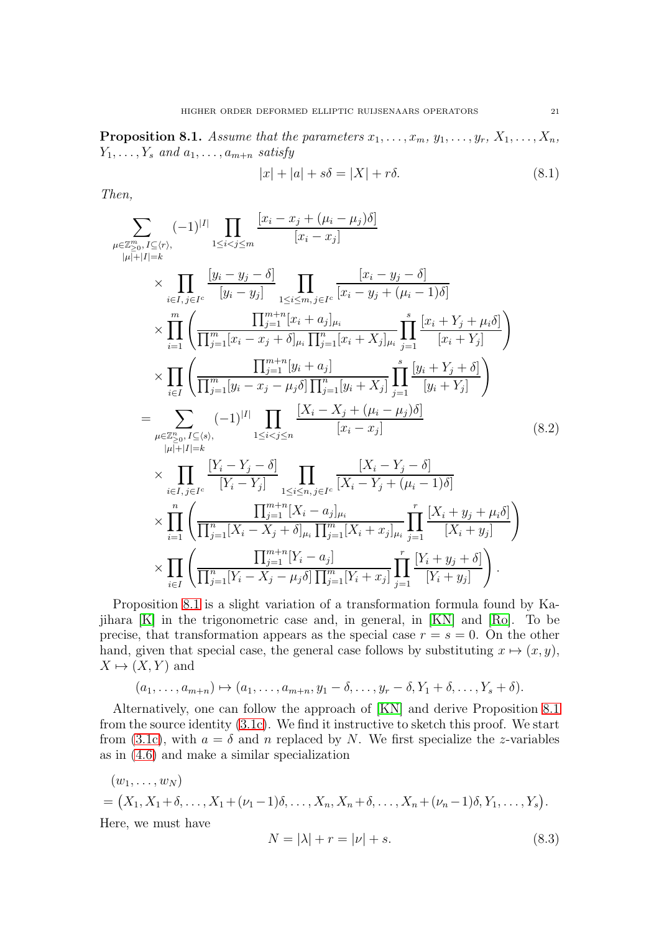<span id="page-20-0"></span>**Proposition 8.1.** Assume that the parameters  $x_1, \ldots, x_m, y_1, \ldots, y_r, X_1, \ldots, X_n$ ,  $Y_1, \ldots, Y_s$  and  $a_1, \ldots, a_{m+n}$  satisfy

<span id="page-20-3"></span><span id="page-20-1"></span>
$$
|x| + |a| + s\delta = |X| + r\delta. \tag{8.1}
$$

Then,

$$
\sum_{\mu \in \mathbb{Z}_{\geq 0}^{m}, I \subseteq (r),} (-1)^{|I|} \prod_{1 \leq i < j \leq m} \frac{[x_i - x_j + (\mu_i - \mu_j)\delta]}{[x_i - x_j]}
$$
\n
$$
\times \prod_{i \in I, j \in I^c} \frac{[y_i - y_j - \delta]}{[y_i - y_j]} \prod_{1 \leq i \leq m, j \in I^c} \frac{[x_i - y_j - \delta]}{[x_i - y_j + (\mu_i - 1)\delta]}
$$
\n
$$
\times \prod_{i=1}^m \left( \frac{\prod_{j=1}^{m+n} [x_i + a_j]_{\mu_i}}{\prod_{j=1}^m [x_i - x_j + \delta]_{\mu_i} \prod_{j=1}^n [x_i + X_j]_{\mu_i}} \prod_{j=1}^s \frac{[x_i + Y_j + \mu_i \delta]}{[x_i + Y_j]} \right)
$$
\n
$$
\times \prod_{i \in I} \left( \frac{\prod_{j=1}^{m+n} [y_i + a_j]}{\prod_{j=1}^m [y_i - x_j - \mu_j \delta] \prod_{j=1}^n [y_i + X_j]} \prod_{j=1}^s \frac{[y_i + Y_j + \delta]}{[y_i + Y_j]} \right)
$$
\n
$$
= \sum_{\mu \in \mathbb{Z}_{\geq 0}^{n}, I \subseteq (s),} (-1)^{|I|} \prod_{1 \leq i < j \leq n} \frac{[X_i - X_j + (\mu_i - \mu_j)\delta]}{[x_i - x_j]} \times \prod_{i \in I, j \in I^c} \frac{[Y_i - Y_j - \delta]}{[Y_i - Y_j]} \prod_{1 \leq i \leq n, j \in I^c} \frac{[X_i - Y_j - \delta]}{[X_i - Y_j + (\mu_i - 1)\delta]}
$$
\n
$$
\times \prod_{i=1}^n \left( \frac{\prod_{j=1}^{m+n} [X_i - a_j]_{\mu_i}}{\prod_{j=1}^n [X_i - X_j + \delta]_{\mu_i} \prod_{j=1}^m [X_i + x_j]_{\mu_i}} \prod_{j=1}^r \frac{[X_i + y_j + \mu_i \delta]}{[X_i + y_j]} \right)
$$
\n
$$
\times \prod_{i \in I} \left( \frac{\prod_{j=1}^{m+n} [Y
$$

Proposition [8.1](#page-20-0) is a slight variation of a transformation formula found by Kajihara [\[K\]](#page-27-11) in the trigonometric case and, in general, in [\[KN\]](#page-27-7) and [\[Ro\]](#page-28-5). To be precise, that transformation appears as the special case  $r = s = 0$ . On the other hand, given that special case, the general case follows by substituting  $x \mapsto (x, y)$ ,  $X \mapsto (X, Y)$  and

$$
(a_1,\ldots,a_{m+n})\mapsto (a_1,\ldots,a_{m+n},y_1-\delta,\ldots,y_r-\delta,Y_1+\delta,\ldots,Y_s+\delta).
$$

Alternatively, one can follow the approach of [\[KN\]](#page-27-7) and derive Proposition [8.1](#page-20-0) from the source identity [\(3.1c\)](#page-7-0). We find it instructive to sketch this proof. We start from [\(3.1c\)](#page-7-0), with  $a = \delta$  and n replaced by N. We first specialize the z-variables as in [\(4.6\)](#page-10-1) and make a similar specialization

<span id="page-20-2"></span>
$$
(w_1, ..., w_N)
$$
  
=  $(X_1, X_1 + \delta, ..., X_1 + (\nu_1 - 1)\delta, ..., X_n, X_n + \delta, ..., X_n + (\nu_n - 1)\delta, Y_1, ..., Y_s).$   
Here, we must have  

$$
N = |\lambda| + r = |\nu| + s.
$$
 (8.3)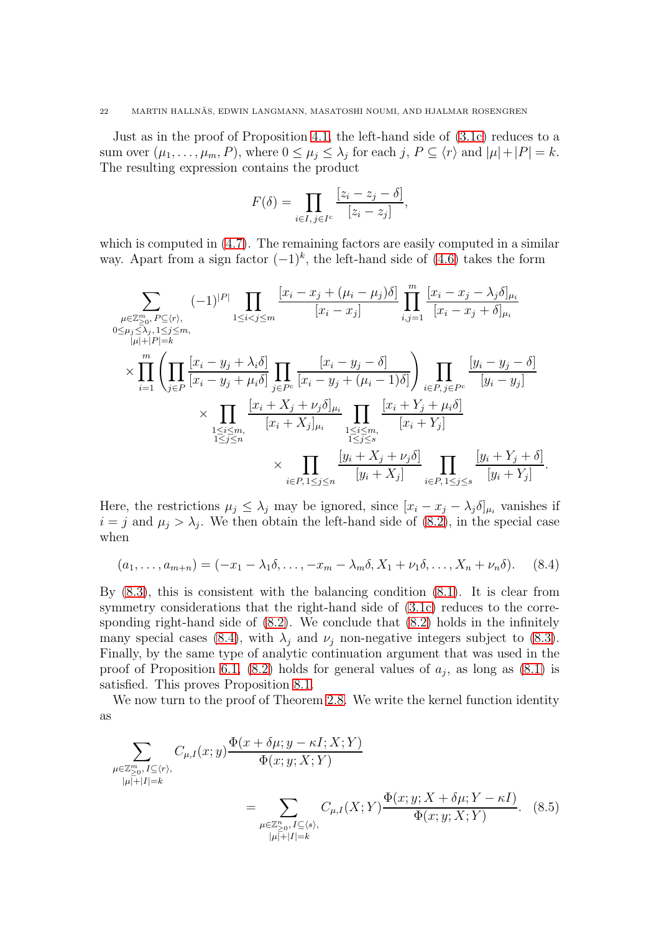Just as in the proof of Proposition [4.1,](#page-10-0) the left-hand side of [\(3.1c\)](#page-7-0) reduces to a sum over  $(\mu_1, \ldots, \mu_m, P)$ , where  $0 \le \mu_j \le \lambda_j$  for each  $j, P \subseteq \langle r \rangle$  and  $|\mu| + |P| = k$ . The resulting expression contains the product

$$
F(\delta) = \prod_{i \in I, j \in I^c} \frac{[z_i - z_j - \delta]}{[z_i - z_j]},
$$

which is computed in  $(4.7)$ . The remaining factors are easily computed in a similar way. Apart from a sign factor  $(-1)^k$ , the left-hand side of  $(4.6)$  takes the form

$$
\sum_{\substack{\mu \in \mathbb{Z}_{\geq 0}^m, P \subseteq \langle r \rangle, \\0 \leq \mu_j \leq \lambda_j, 1 \leq j \leq m, \\ |\mu| + |P| = k}} (-1)^{|P|} \prod_{1 \leq i < j \leq m} \frac{[x_i - x_j + (\mu_i - \mu_j)\delta]}{[x_i - x_j]} \prod_{i,j=1}^m \frac{[x_i - x_j - \lambda_j \delta]_{\mu_i}}{[x_i - x_j + \delta]_{\mu_i}} \\
\times \prod_{i=1}^m \left( \prod_{j \in P} \frac{[x_i - y_j + \lambda_i \delta]}{[x_i - y_j + \mu_i \delta]} \prod_{j \in P^c} \frac{[x_i - y_j - \delta]}{[x_i - y_j + (\mu_i - 1)\delta]} \right) \prod_{i \in P, j \in P^c} \frac{[y_i - y_j - \delta]}{[y_i - y_j]} \\
\times \prod_{\substack{1 \leq i \leq m, \\ 1 \leq j \leq n}} \frac{[x_i + X_j + \nu_j \delta]_{\mu_i}}{[x_i + X_j]_{\mu_i}} \prod_{\substack{1 \leq i \leq m, \\ 1 \leq j \leq s}} \frac{[x_i + Y_j + \mu_i \delta]}{[x_i + Y_j]} \\
\times \prod_{i \in P, 1 \leq j \leq n} \frac{[y_i + X_j + \nu_j \delta]}{[y_i + X_j]} \prod_{i \in P, 1 \leq j \leq s} \frac{[y_i + Y_j + \delta]}{[y_i + Y_j]}.
$$

Here, the restrictions  $\mu_j \leq \lambda_j$  may be ignored, since  $[x_i - x_j - \lambda_j \delta]_{\mu_i}$  vanishes if  $i = j$  and  $\mu_j > \lambda_j$ . We then obtain the left-hand side of [\(8.2\)](#page-20-1), in the special case when

<span id="page-21-0"></span>
$$
(a_1,\ldots,a_{m+n})=(-x_1-\lambda_1\delta,\ldots,-x_m-\lambda_m\delta,X_1+\nu_1\delta,\ldots,X_n+\nu_n\delta). \hspace{0.5cm} (8.4)
$$

By [\(8.3\)](#page-20-2), this is consistent with the balancing condition [\(8.1\)](#page-20-3). It is clear from symmetry considerations that the right-hand side of  $(3.1c)$  reduces to the corresponding right-hand side of [\(8.2\)](#page-20-1). We conclude that [\(8.2\)](#page-20-1) holds in the infinitely many special cases [\(8.4\)](#page-21-0), with  $\lambda_j$  and  $\nu_j$  non-negative integers subject to [\(8.3\)](#page-20-2). Finally, by the same type of analytic continuation argument that was used in the proof of Proposition [6.1,](#page-15-4) [\(8.2\)](#page-20-1) holds for general values of  $a_j$ , as long as [\(8.1\)](#page-20-3) is satisfied. This proves Proposition [8.1.](#page-20-0)

We now turn to the proof of Theorem [2.8.](#page-5-3) We write the kernel function identity as

<span id="page-21-1"></span>
$$
\sum_{\substack{\mu \in \mathbb{Z}_{\geq 0}^m, I \subseteq \langle r \rangle, \\ |\mu| + |I| = k}} C_{\mu, I}(x; y) \frac{\Phi(x + \delta \mu; y - \kappa I; X; Y)}{\Phi(x; y; X; Y)} \n= \sum_{\substack{\mu \in \mathbb{Z}_{\geq 0}^n, I \subseteq \langle s \rangle, \\ |\mu| + |I| = k}} C_{\mu, I}(X; Y) \frac{\Phi(x; y; X + \delta \mu; Y - \kappa I)}{\Phi(x; y; X; Y)}.
$$
\n(8.5)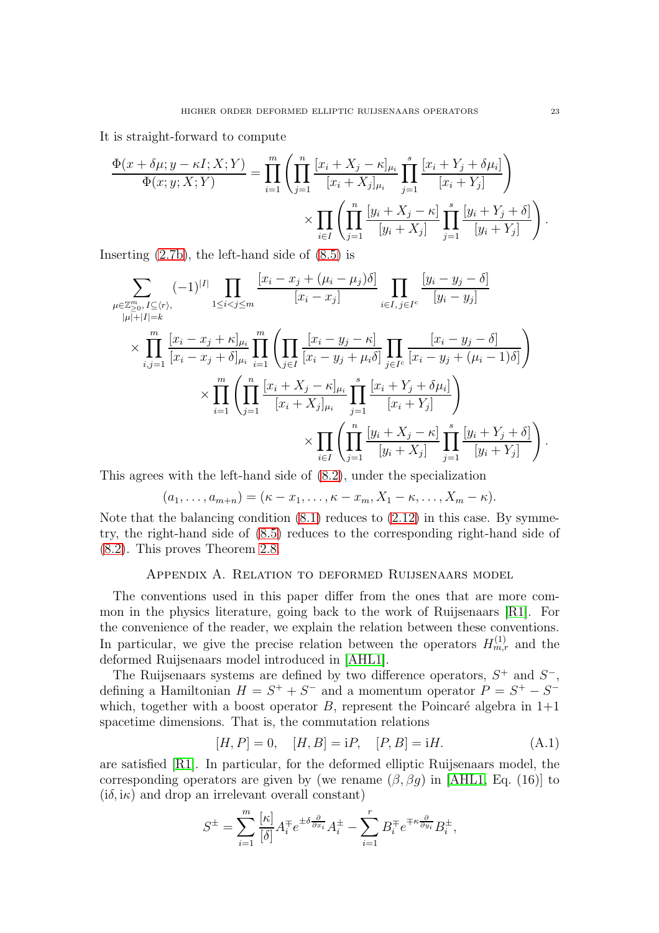It is straight-forward to compute

$$
\frac{\Phi(x+\delta\mu; y-\kappa I; X; Y)}{\Phi(x; y; X; Y)} = \prod_{i=1}^{m} \left( \prod_{j=1}^{n} \frac{[x_i + X_j - \kappa]_{\mu_i}}{[x_i + X_j]_{\mu_i}} \prod_{j=1}^{s} \frac{[x_i + Y_j + \delta \mu_i]}{[x_i + Y_j]} \right) \times \prod_{i \in I} \left( \prod_{j=1}^{n} \frac{[y_i + X_j - \kappa]}{[y_i + X_j]} \prod_{j=1}^{s} \frac{[y_i + Y_j + \delta]}{[y_i + Y_j]} \right).
$$

Inserting [\(2.7b\)](#page-3-2), the left-hand side of [\(8.5\)](#page-21-1) is

$$
\sum_{\substack{\mu \in \mathbb{Z}_{\geq 0}^m, I \subseteq \langle r \rangle, \\ |\mu| + |I| = k}} (-1)^{|I|} \prod_{1 \leq i < j \leq m} \frac{[x_i - x_j + (\mu_i - \mu_j)\delta]}{[x_i - x_j]} \prod_{i \in I, j \in I^c} \frac{[y_i - y_j - \delta]}{[y_i - y_j]}
$$
\n
$$
\times \prod_{i,j=1}^m \frac{[x_i - x_j + \kappa]_{\mu_i}}{[x_i - x_j + \delta]_{\mu_i}} \prod_{i=1}^m \left( \prod_{j \in I} \frac{[x_i - y_j - \kappa]}{[x_i - y_j + \mu_i \delta]} \prod_{j \in I^c} \frac{[x_i - y_j - \delta]}{[x_i - y_j + (\mu_i - 1)\delta]} \right)
$$
\n
$$
\times \prod_{i=1}^m \left( \prod_{j=1}^n \frac{[x_i + X_j - \kappa]_{\mu_i}}{[x_i + X_j]_{\mu_i}} \prod_{j=1}^s \frac{[x_i + Y_j + \delta \mu_i]}{[x_i + Y_j]} \right)
$$
\n
$$
\times \prod_{i \in I} \left( \prod_{j=1}^n \frac{[y_i + X_j - \kappa]}{[y_i + X_j]} \prod_{j=1}^s \frac{[y_i + Y_j + \delta]}{[y_i + Y_j]} \right).
$$

This agrees with the left-hand side of [\(8.2\)](#page-20-1), under the specialization

$$
(a_1,\ldots,a_{m+n})=(\kappa-x_1,\ldots,\kappa-x_m,X_1-\kappa,\ldots,X_m-\kappa).
$$

Note that the balancing condition  $(8.1)$  reduces to  $(2.12)$  in this case. By symmetry, the right-hand side of [\(8.5\)](#page-21-1) reduces to the corresponding right-hand side of [\(8.2\)](#page-20-1). This proves Theorem [2.8.](#page-5-3)

#### Appendix A. Relation to deformed Ruijsenaars model

<span id="page-22-0"></span>The conventions used in this paper differ from the ones that are more common in the physics literature, going back to the work of Ruijsenaars [\[R1\]](#page-28-2). For the convenience of the reader, we explain the relation between these conventions. In particular, we give the precise relation between the operators  $H_{m,r}^{(1)}$  and the deformed Ruijsenaars model introduced in [\[AHL1\]](#page-27-4).

The Ruijsenaars systems are defined by two difference operators,  $S^+$  and  $S^-$ , defining a Hamiltonian  $H = S^+ + S^-$  and a momentum operator  $P = S^+ - S^$ which, together with a boost operator  $B$ , represent the Poincaré algebra in  $1+1$ spacetime dimensions. That is, the commutation relations

<span id="page-22-1"></span>
$$
[H, P] = 0, \quad [H, B] = iP, \quad [P, B] = iH. \tag{A.1}
$$

are satisfied [\[R1\]](#page-28-2). In particular, for the deformed elliptic Ruijsenaars model, the corresponding operators are given by (we rename  $(\beta, \beta g)$  in [\[AHL1,](#page-27-4) Eq. (16)] to  $(i\delta, i\kappa)$  and drop an irrelevant overall constant)

$$
S^{\pm} = \sum_{i=1}^{m} \frac{\left[\kappa\right]}{\left[\delta\right]} A^{\mp}_i e^{\pm \delta \frac{\partial}{\partial x_i}} A^{\pm}_i - \sum_{i=1}^{r} B^{\mp}_i e^{\mp \kappa \frac{\partial}{\partial y_i}} B^{\pm}_i,
$$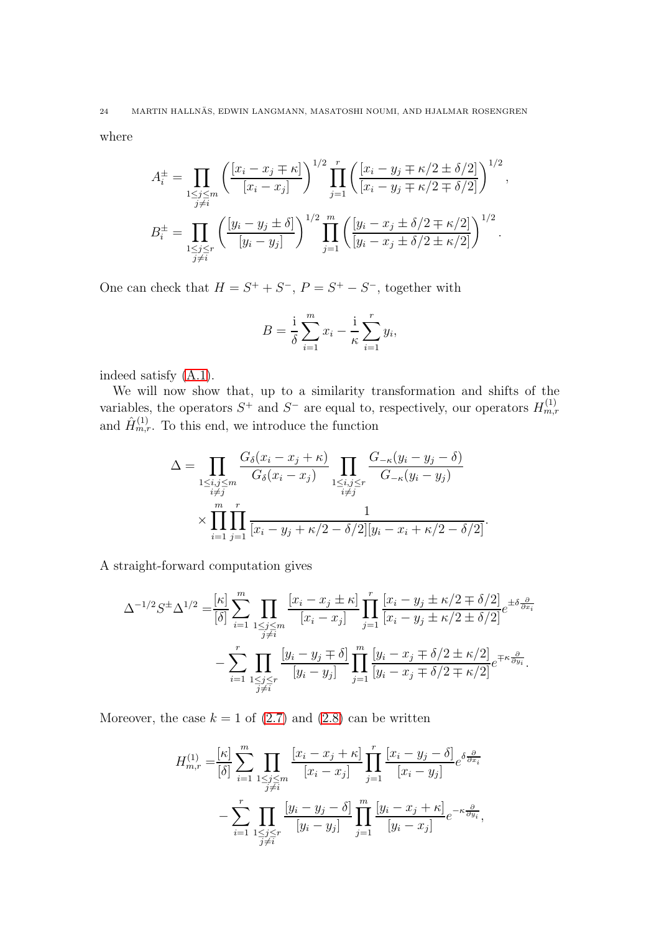where

$$
A_i^{\pm} = \prod_{\substack{1 \le j \le m \\ j \ne i}} \left( \frac{[x_i - x_j \mp \kappa]}{[x_i - x_j]} \right)^{1/2} \prod_{j=1}^r \left( \frac{[x_i - y_j \mp \kappa/2 \pm \delta/2]}{[x_i - y_j \mp \kappa/2 \mp \delta/2]} \right)^{1/2},
$$
  

$$
B_i^{\pm} = \prod_{\substack{1 \le j \le r \\ j \ne i}} \left( \frac{[y_i - y_j \pm \delta]}{[y_i - y_j]} \right)^{1/2} \prod_{j=1}^m \left( \frac{[y_i - x_j \pm \delta/2 \mp \kappa/2]}{[y_i - x_j \pm \delta/2 \pm \kappa/2]} \right)^{1/2}.
$$

One can check that  $H = S^+ + S^-$ ,  $P = S^+ - S^-$ , together with

$$
B = \frac{1}{\delta} \sum_{i=1}^{m} x_i - \frac{1}{\kappa} \sum_{i=1}^{r} y_i,
$$

indeed satisfy [\(A.1\)](#page-22-1).

We will now show that, up to a similarity transformation and shifts of the variables, the operators  $S^+$  and  $S^-$  are equal to, respectively, our operators  $H_{m,r}^{(1)}$ and  $\hat{H}_{m,r}^{(1)}$ . To this end, we introduce the function

$$
\Delta = \prod_{\substack{1 \le i,j \le m \\ i \ne j}} \frac{G_{\delta}(x_i - x_j + \kappa)}{G_{\delta}(x_i - x_j)} \prod_{\substack{1 \le i,j \le r \\ i \ne j}} \frac{G_{-\kappa}(y_i - y_j - \delta)}{G_{-\kappa}(y_i - y_j)} \times \prod_{i=1}^{m} \prod_{j=1}^{r} \frac{1}{[x_i - y_j + \kappa/2 - \delta/2][y_i - x_i + \kappa/2 - \delta/2]}.
$$

A straight-forward computation gives

$$
\Delta^{-1/2} S^{\pm} \Delta^{1/2} = \frac{\kappa}{[\delta]} \sum_{i=1}^{m} \prod_{\substack{1 \le j \le m \\ j \ne i}} \frac{\left[x_i - x_j \pm \kappa\right]}{\left[x_i - x_j\right]} \prod_{j=1}^{r} \frac{\left[x_i - y_j \pm \kappa/2 \mp \delta/2\right]}{\left[x_i - y_j \pm \kappa/2 \pm \delta/2\right]} e^{\pm \delta \frac{\partial}{\partial x_i}}
$$

$$
- \sum_{i=1}^{r} \prod_{\substack{1 \le j \le r \\ j \ne i}} \frac{\left[y_i - y_j \mp \delta\right]}{\left[y_i - y_j\right]} \prod_{j=1}^{m} \frac{\left[y_i - x_j \mp \delta/2 \pm \kappa/2\right]}{\left[y_i - x_j \mp \delta/2 \mp \kappa/2\right]} e^{\mp \kappa \frac{\partial}{\partial y_i}}.
$$

Moreover, the case  $k = 1$  of [\(2.7\)](#page-3-0) and [\(2.8\)](#page-4-5) can be written

$$
H_{m,r}^{(1)} = \frac{\kappa}{\delta} \sum_{i=1}^{m} \prod_{\substack{1 \le j \le m \\ j \ne i}} \frac{\left[x_i - x_j + \kappa\right]}{\left[x_i - x_j\right]} \prod_{j=1}^{r} \frac{\left[x_i - y_j - \delta\right]}{\left[x_i - y_j\right]} e^{\delta \frac{\partial}{\partial x_i}}
$$

$$
- \sum_{i=1}^{r} \prod_{\substack{1 \le j \le r \\ j \ne i}} \frac{\left[y_i - y_j - \delta\right]}{\left[y_i - y_j\right]} \prod_{j=1}^{m} \frac{\left[y_i - x_j + \kappa\right]}{\left[y_i - x_j\right]} e^{-\kappa \frac{\partial}{\partial y_i}},
$$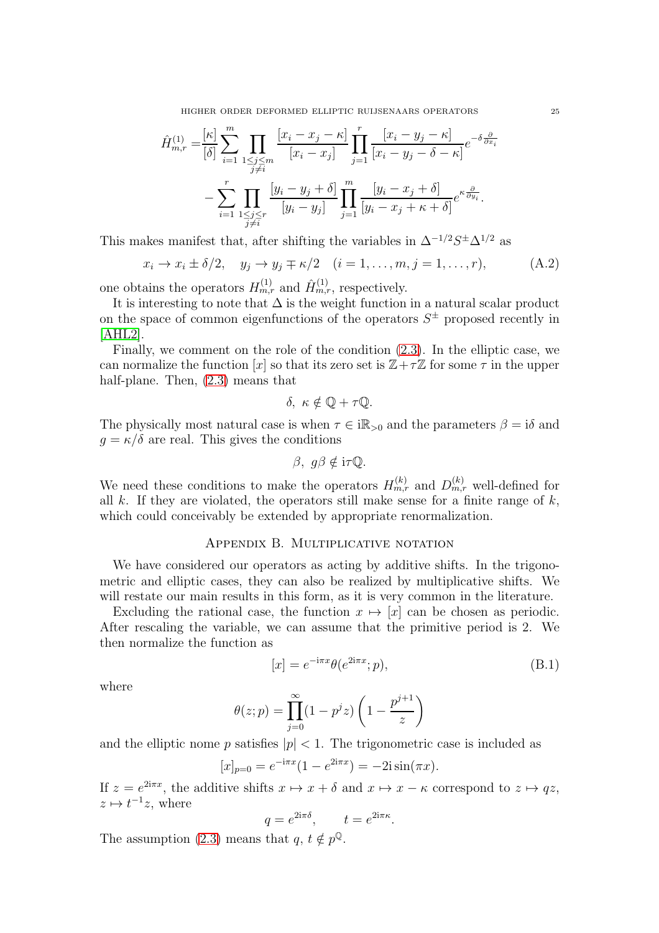HIGHER ORDER DEFORMED ELLIPTIC RUIJSENAARS OPERATORS 25

$$
\hat{H}_{m,r}^{(1)} = \frac{\kappa}{\delta} \sum_{i=1}^{m} \prod_{\substack{1 \le j \le m \\ j \ne i}} \frac{\left[x_i - x_j - \kappa\right]}{\left[x_i - x_j\right]} \prod_{j=1}^{r} \frac{\left[x_i - y_j - \kappa\right]}{\left[x_i - y_j - \delta - \kappa\right]} e^{-\delta \frac{\partial}{\partial x_i}}
$$
\n
$$
- \sum_{i=1}^{r} \prod_{\substack{1 \le j \le r \\ j \ne i}} \frac{\left[y_i - y_j + \delta\right]}{\left[y_i - y_j\right]} \prod_{j=1}^{m} \frac{\left[y_i - x_j + \delta\right]}{\left[y_i - x_j + \kappa + \delta\right]} e^{\kappa \frac{\partial}{\partial y_i}}.
$$

This makes manifest that, after shifting the variables in  $\Delta^{-1/2}S^{\pm}\Delta^{1/2}$  as

<span id="page-24-0"></span>
$$
x_i \to x_i \pm \delta/2, \quad y_j \to y_j \mp \kappa/2 \quad (i = 1, \dots, m, j = 1, \dots, r), \tag{A.2}
$$

one obtains the operators  $H_{m,r}^{(1)}$  and  $\hat{H}_{m,r}^{(1)}$ , respectively.

It is interesting to note that  $\Delta$  is the weight function in a natural scalar product on the space of common eigenfunctions of the operators  $S^{\pm}$  proposed recently in [\[AHL2\]](#page-27-5).

Finally, we comment on the role of the condition [\(2.3\)](#page-2-1). In the elliptic case, we can normalize the function  $[x]$  so that its zero set is  $\mathbb{Z}+\tau\mathbb{Z}$  for some  $\tau$  in the upper half-plane. Then, [\(2.3\)](#page-2-1) means that

$$
\delta, \ \kappa \notin \mathbb{Q} + \tau \mathbb{Q}.
$$

The physically most natural case is when  $\tau \in i\mathbb{R}_{>0}$  and the parameters  $\beta = i\delta$  and  $g = \kappa/\delta$  are real. This gives the conditions

$$
\beta, g\beta \notin i\tau \mathbb{Q}.
$$

We need these conditions to make the operators  $H_{m,r}^{(k)}$  and  $D_{m,r}^{(k)}$  well-defined for all k. If they are violated, the operators still make sense for a finite range of  $k$ , which could conceivably be extended by appropriate renormalization.

## Appendix B. Multiplicative notation

<span id="page-24-1"></span>We have considered our operators as acting by additive shifts. In the trigonometric and elliptic cases, they can also be realized by multiplicative shifts. We will restate our main results in this form, as it is very common in the literature.

Excluding the rational case, the function  $x \mapsto [x]$  can be chosen as periodic. After rescaling the variable, we can assume that the primitive period is 2. We then normalize the function as

<span id="page-24-2"></span>
$$
[x] = e^{-i\pi x} \theta(e^{2i\pi x}; p), \tag{B.1}
$$

where

$$
\theta(z; p) = \prod_{j=0}^{\infty} (1 - p^{j} z) \left( 1 - \frac{p^{j+1}}{z} \right)
$$

and the elliptic nome p satisfies  $|p| < 1$ . The trigonometric case is included as

$$
[x]_{p=0} = e^{-i\pi x} (1 - e^{2i\pi x}) = -2i \sin(\pi x).
$$

If  $z = e^{2i\pi x}$ , the additive shifts  $x \mapsto x + \delta$  and  $x \mapsto x - \kappa$  correspond to  $z \mapsto qz$ ,  $z \mapsto t^{-1}z$ , where

$$
q = e^{2i\pi\delta}, \qquad t = e^{2i\pi\kappa}.
$$

The assumption [\(2.3\)](#page-2-1) means that  $q, t \notin p^{\mathbb{Q}}$ .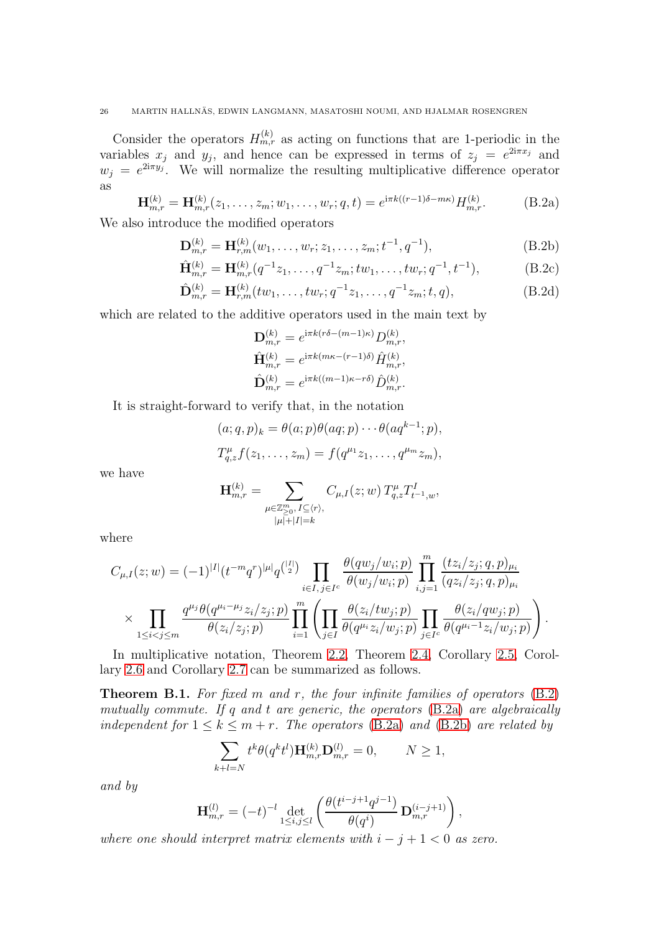Consider the operators  $H_{m,r}^{(k)}$  as acting on functions that are 1-periodic in the variables  $x_j$  and  $y_j$ , and hence can be expressed in terms of  $z_j = e^{2i\pi x_j}$  and  $w_j = e^{2i\pi y_j}$ . We will normalize the resulting multiplicative difference operator as

<span id="page-25-1"></span><span id="page-25-0"></span>
$$
\mathbf{H}_{m,r}^{(k)} = \mathbf{H}_{m,r}^{(k)}(z_1, \dots, z_m; w_1, \dots, w_r; q, t) = e^{i\pi k((r-1)\delta - m\kappa)} H_{m,r}^{(k)}.
$$
 (B.2a)

We also introduce the modified operators

$$
\mathbf{D}_{m,r}^{(k)} = \mathbf{H}_{r,m}^{(k)}(w_1, \dots, w_r; z_1, \dots, z_m; t^{-1}, q^{-1}),
$$
\n(B.2b)

$$
\hat{\mathbf{H}}_{m,r}^{(k)} = \mathbf{H}_{m,r}^{(k)}(q^{-1}z_1, \dots, q^{-1}z_m; tw_1, \dots, tw_r; q^{-1}, t^{-1}),
$$
\n(B.2c)

$$
\hat{\mathbf{D}}_{m,r}^{(k)} = \mathbf{H}_{r,m}^{(k)}(tw_1, \dots, tw_r; q^{-1}z_1, \dots, q^{-1}z_m; t, q),
$$
\n(B.2d)

which are related to the additive operators used in the main text by

<span id="page-25-2"></span>
$$
\mathbf{D}_{m,r}^{(k)} = e^{i\pi k(r\delta - (m-1)\kappa)} D_{m,r}^{(k)},
$$
  
\n
$$
\hat{\mathbf{H}}_{m,r}^{(k)} = e^{i\pi k(m\kappa - (r-1)\delta)} \hat{H}_{m,r}^{(k)},
$$
  
\n
$$
\hat{\mathbf{D}}_{m,r}^{(k)} = e^{i\pi k((m-1)\kappa - r\delta)} \hat{D}_{m,r}^{(k)}.
$$

It is straight-forward to verify that, in the notation

$$
(a;q,p)_k = \theta(a;p)\theta(aq;p)\cdots\theta(aq^{k-1};p),
$$
  
\n
$$
T_{q,z}^{\mu}f(z_1,\ldots,z_m) = f(q^{\mu_1}z_1,\ldots,q^{\mu_m}z_m),
$$

we have

$$
\mathbf{H}_{m,r}^{(k)}=\sum_{\substack{\mu\in\mathbb{Z}_{\geq 0}^m,\,I\subseteq \langle r\rangle,\\|\mu|+|I|=k}}C_{\mu,I}(z;w)\,T_{q,z}^\mu T_{t^{-1},w}^I,
$$

where

$$
C_{\mu,I}(z;w) = (-1)^{|I|} (t^{-m}q^r)^{|\mu|} q^{\binom{|I|}{2}} \prod_{i \in I, j \in I^c} \frac{\theta(qw_j/w_i; p)}{\theta(w_j/w_i; p)} \prod_{i,j=1}^m \frac{(tz_i/z_j; q, p)_{\mu_i}}{(qz_i/z_j; q, p)_{\mu_i}} \times \prod_{1 \leq i < j \leq m} \frac{q^{\mu_j} \theta(q^{\mu_i - \mu_j} z_i/z_j; p)}{\theta(z_i/z_j; p)} \prod_{i=1}^m \left( \prod_{j \in I} \frac{\theta(z_i/tw_j; p)}{\theta(q^{\mu_i} z_i/w_j; p)} \prod_{j \in I^c} \frac{\theta(z_i/qw_j; p)}{\theta(q^{\mu_i - 1} z_i/w_j; p)} \right).
$$

In multiplicative notation, Theorem [2.2,](#page-4-4) Theorem [2.4,](#page-4-2) Corollary [2.5,](#page-5-1) Corollary [2.6](#page-5-4) and Corollary [2.7](#page-5-5) can be summarized as follows.

**Theorem B.1.** For fixed  $m$  and  $r$ , the four infinite families of operators  $(B.2)$ mutually commute. If q and t are generic, the operators [\(B.2a\)](#page-25-1) are algebraically independent for  $1 \leq k \leq m+r$ . The operators [\(B.2a\)](#page-25-1) and [\(B.2b\)](#page-25-2) are related by

$$
\sum_{k+l=N} t^k \theta(q^k t^l) \mathbf{H}_{m,r}^{(k)} \mathbf{D}_{m,r}^{(l)} = 0, \qquad N \ge 1,
$$

and by

$$
\mathbf{H}_{m,r}^{(l)} = (-t)^{-l} \det_{1 \leq i,j \leq l} \left( \frac{\theta(t^{i-j+1}q^{j-1})}{\theta(q^i)} \mathbf{D}_{m,r}^{(i-j+1)} \right),
$$

where one should interpret matrix elements with  $i - j + 1 < 0$  as zero.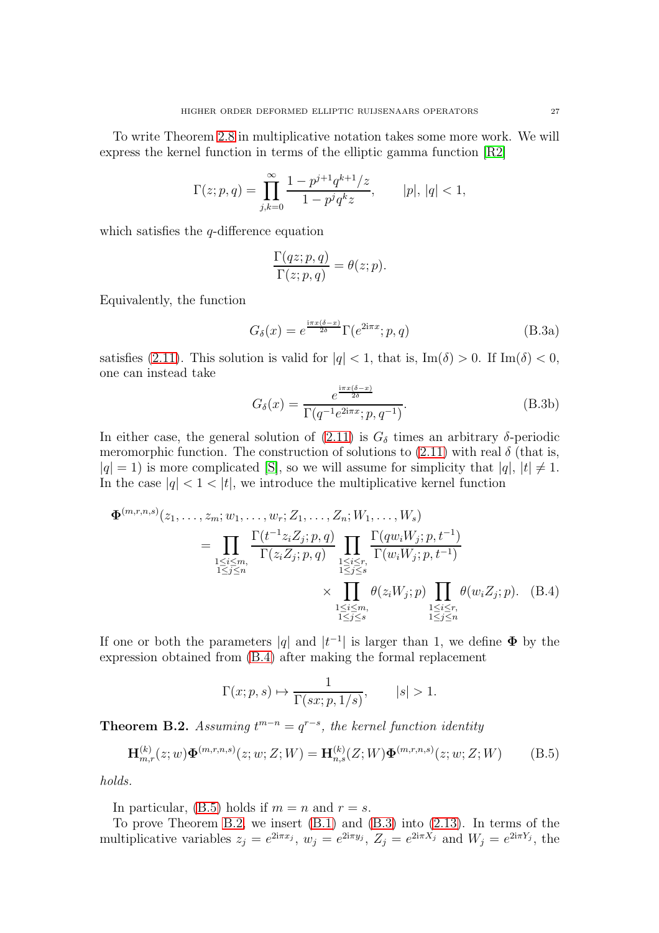To write Theorem [2.8](#page-5-3) in multiplicative notation takes some more work. We will express the kernel function in terms of the elliptic gamma function [\[R2\]](#page-28-10)

$$
\Gamma(z;p,q) = \prod_{j,k=0}^{\infty} \frac{1 - p^{j+1} q^{k+1} / z}{1 - p^j q^k z}, \qquad |p|, |q| < 1,
$$

which satisfies the  $q$ -difference equation

$$
\frac{\Gamma(qz;p,q)}{\Gamma(z;p,q)} = \theta(z;p).
$$

Equivalently, the function

<span id="page-26-0"></span>
$$
G_{\delta}(x) = e^{\frac{i\pi x(\delta - x)}{2\delta}} \Gamma(e^{2i\pi x}; p, q)
$$
 (B.3a)

satisfies [\(2.11\)](#page-5-6). This solution is valid for  $|q| < 1$ , that is, Im( $\delta$ ) > 0. If Im( $\delta$ ) < 0, one can instead take

$$
G_{\delta}(x) = \frac{e^{\frac{i\pi x(\delta - x)}{2\delta}}}{\Gamma(q^{-1}e^{2i\pi x}; p, q^{-1})}.
$$
\n(B.3b)

In either case, the general solution of  $(2.11)$  is  $G_{\delta}$  times an arbitrary  $\delta$ -periodic meromorphic function. The construction of solutions to  $(2.11)$  with real  $\delta$  (that is,  $|q| = 1$ ) is more complicated [\[S\]](#page-28-11), so we will assume for simplicity that  $|q|, |t| \neq 1$ . In the case  $|q| < 1 < |t|$ , we introduce the multiplicative kernel function

$$
\Phi^{(m,r,n,s)}(z_1, \ldots, z_m; w_1, \ldots, w_r; Z_1, \ldots, Z_n; W_1, \ldots, W_s)
$$
\n
$$
= \prod_{\substack{1 \le i \le m, \\ 1 \le j \le n}} \frac{\Gamma(t^{-1} z_i Z_j; p, q)}{\Gamma(z_i Z_j; p, q)} \prod_{\substack{1 \le i \le r, \\ 1 \le j \le s}} \frac{\Gamma(q w_i W_j; p, t^{-1})}{\Gamma(w_i W_j; p, t^{-1})}
$$
\n
$$
\times \prod_{\substack{1 \le i \le m, \\ 1 \le j \le s}} \theta(z_i W_j; p) \prod_{\substack{1 \le i \le r, \\ 1 \le j \le n}} \theta(w_i Z_j; p). \quad (B.4)
$$

If one or both the parameters |q| and  $|t^{-1}|$  is larger than 1, we define  $\Phi$  by the expression obtained from [\(B.4\)](#page-26-1) after making the formal replacement

<span id="page-26-1"></span>
$$
\Gamma(x;p,s) \mapsto \frac{1}{\Gamma(sx;p,1/s)}, \qquad |s| > 1.
$$

<span id="page-26-3"></span>**Theorem B.2.** Assuming  $t^{m-n} = q^{r-s}$ , the kernel function identity

<span id="page-26-2"></span>
$$
\mathbf{H}_{m,r}^{(k)}(z;w)\mathbf{\Phi}^{(m,r,n,s)}(z;w;Z;W) = \mathbf{H}_{n,s}^{(k)}(Z;W)\mathbf{\Phi}^{(m,r,n,s)}(z;w;Z;W) \tag{B.5}
$$

holds.

In particular, [\(B.5\)](#page-26-2) holds if  $m = n$  and  $r = s$ .

To prove Theorem [B.2,](#page-26-3) we insert [\(B.1\)](#page-24-2) and [\(B.3\)](#page-26-0) into [\(2.13\)](#page-6-4). In terms of the multiplicative variables  $z_j = e^{2i\pi x_j}$ ,  $w_j = e^{2i\pi y_j}$ ,  $Z_j = e^{2i\pi X_j}$  and  $W_j = e^{2i\pi Y_j}$ , the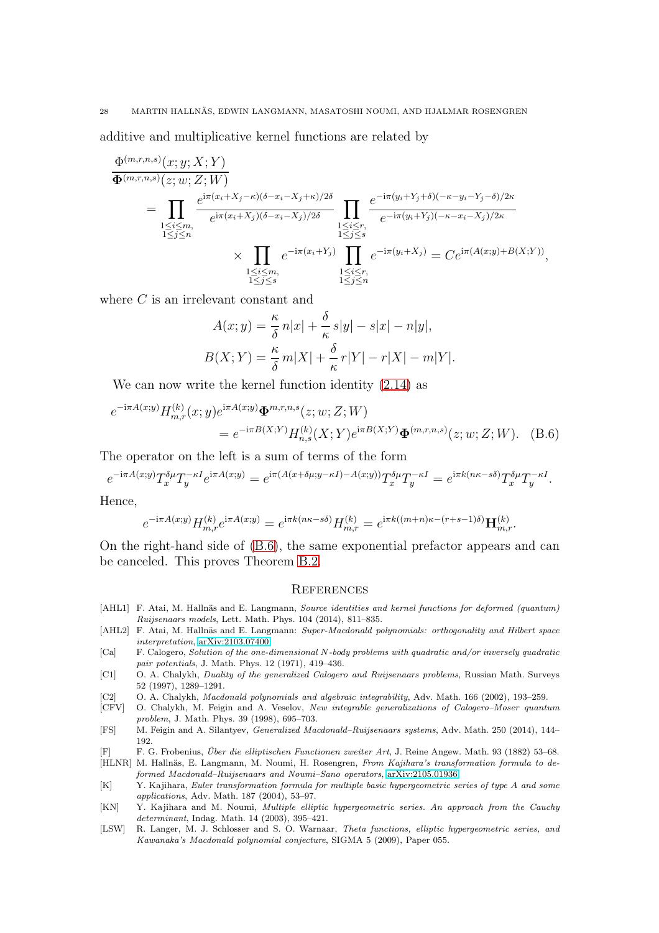additive and multiplicative kernel functions are related by

$$
\frac{\Phi^{(m,r,n,s)}(x;y;X;Y)}{\Phi^{(m,r,n,s)}(z;w;Z;W)}
$$
\n
$$
= \prod_{\substack{1 \leq i \leq m, \\ 1 \leq j \leq n}} \frac{e^{i\pi(x_i+X_j-\kappa)(\delta-x_i-X_j+\kappa)/2\delta}}{e^{i\pi(x_i+X_j)(\delta-x_i-X_j)/2\delta}} \prod_{\substack{1 \leq i \leq r, \\ 1 \leq j \leq s}} \frac{e^{-i\pi(y_i+Y_j+\delta)(-\kappa-y_i-Y_j-\delta)/2\kappa}}{e^{-i\pi(y_i+Y_j)(-\kappa-x_i-X_j)/2\kappa}}
$$
\n
$$
\times \prod_{\substack{1 \leq i \leq m, \\ 1 \leq j \leq s}} e^{-i\pi(x_i+Y_j)} \prod_{\substack{1 \leq i \leq r, \\ 1 \leq j \leq n}} e^{-i\pi(y_i+X_j)} = Ce^{i\pi(A(x;y)+B(X;Y))},
$$

where C is an irrelevant constant and

$$
A(x; y) = \frac{\kappa}{\delta} n|x| + \frac{\delta}{\kappa} s|y| - s|x| - n|y|,
$$
  

$$
B(X; Y) = \frac{\kappa}{\delta} m|X| + \frac{\delta}{\kappa} r|Y| - r|X| - m|Y|.
$$

We can now write the kernel function identity [\(2.14\)](#page-6-0) as

$$
e^{-i\pi A(x;y)} H_{m,r}^{(k)}(x;y) e^{i\pi A(x;y)} \mathbf{\Phi}^{m,r,n,s}(z;w;Z;W)
$$
  
= 
$$
e^{-i\pi B(X;Y)} H_{n,s}^{(k)}(X;Y) e^{i\pi B(X;Y)} \mathbf{\Phi}^{(m,r,n,s)}(z;w;Z;W).
$$
 (B.6)

The operator on the left is a sum of terms of the form

$$
e^{-i\pi A(x;y)}T_x^{\delta\mu}T_y^{-\kappa I}e^{i\pi A(x;y)} = e^{i\pi (A(x+\delta\mu;y-\kappa I)-A(x;y))}T_x^{\delta\mu}T_y^{-\kappa I} = e^{i\pi k(n\kappa-s\delta)}T_x^{\delta\mu}T_y^{-\kappa I}.
$$

Hence,

$$
e^{-{\rm i}\pi A(x;y)}H_{m,r}^{(k)}e^{{\rm i}\pi A(x;y)}=e^{{\rm i}\pi k(n\kappa-s\delta)}H_{m,r}^{(k)}=e^{{\rm i}\pi k((m+n)\kappa-(r+s-1)\delta)}\mathbf{H}_{m,r}^{(k)}.
$$

On the right-hand side of [\(B.6\)](#page-27-12), the same exponential prefactor appears and can be canceled. This proves Theorem [B.2.](#page-26-3)

#### <span id="page-27-12"></span>**REFERENCES**

- <span id="page-27-4"></span>[AHL1] F. Atai, M. Hallnäs and E. Langmann, Source identities and kernel functions for deformed (quantum) Ruijsenaars models, Lett. Math. Phys. 104 (2014), 811–835.
- <span id="page-27-5"></span>[AHL2] F. Atai, M. Hallnäs and E. Langmann: Super-Macdonald polynomials: orthogonality and Hilbert space interpretation, [arXiv:2103.07400.](http://arxiv.org/abs/2103.07400)
- <span id="page-27-1"></span>[Ca] F. Calogero, Solution of the one-dimensional N-body problems with quadratic and/or inversely quadratic pair potentials, J. Math. Phys. 12 (1971), 419–436.
- <span id="page-27-2"></span>[C1] O. A. Chalykh, Duality of the generalized Calogero and Ruijsenaars problems, Russian Math. Surveys 52 (1997), 1289–1291.
- <span id="page-27-3"></span>[C2] O. A. Chalykh, Macdonald polynomials and algebraic integrability, Adv. Math. 166 (2002), 193–259.
- <span id="page-27-0"></span>[CFV] O. Chalykh, M. Feigin and A. Veselov, New integrable generalizations of Calogero–Moser quantum problem, J. Math. Phys. 39 (1998), 695–703.
- <span id="page-27-6"></span>[FS] M. Feigin and A. Silantyev, Generalized Macdonald–Ruijsenaars systems, Adv. Math. 250 (2014), 144– 192.
- <span id="page-27-10"></span>[F] F. G. Frobenius, Uber die elliptischen Functionen zweiter Art ¨ , J. Reine Angew. Math. 93 (1882) 53–68.
- <span id="page-27-9"></span>[HLNR] M. Hallnäs, E. Langmann, M. Noumi, H. Rosengren, From Kajihara's transformation formula to deformed Macdonald–Ruijsenaars and Noumi–Sano operators, [arXiv:2105.01936.](http://arxiv.org/abs/2105.01936)
- <span id="page-27-11"></span>[K] Y. Kajihara, Euler transformation formula for multiple basic hypergeometric series of type A and some applications, Adv. Math. 187 (2004), 53–97.
- <span id="page-27-7"></span>[KN] Y. Kajihara and M. Noumi, Multiple elliptic hypergeometric series. An approach from the Cauchy determinant, Indag. Math. 14 (2003), 395–421.
- <span id="page-27-8"></span>[LSW] R. Langer, M. J. Schlosser and S. O. Warnaar, Theta functions, elliptic hypergeometric series, and Kawanaka's Macdonald polynomial conjecture, SIGMA 5 (2009), Paper 055.